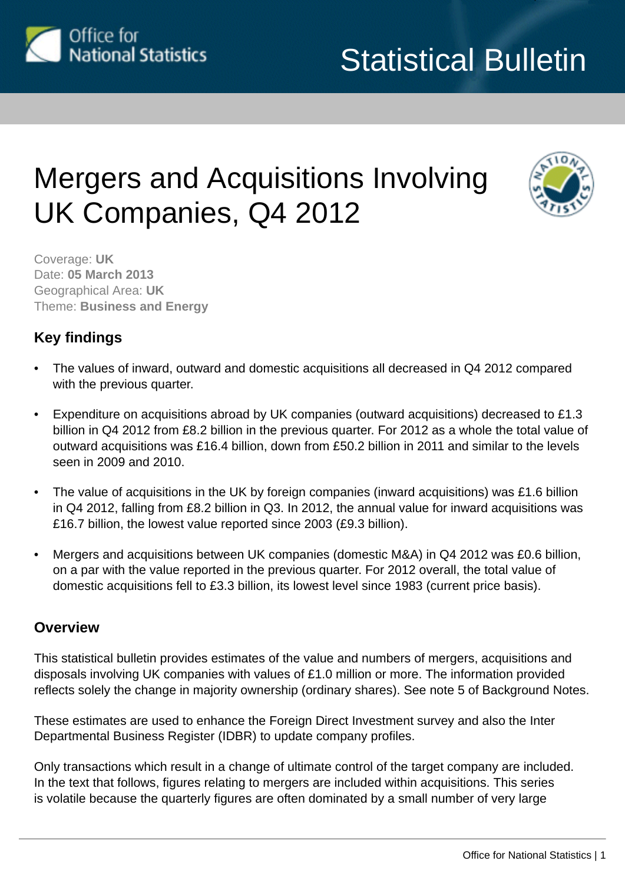

# Mergers and Acquisitions Involving UK Companies, Q4 2012



Coverage: **UK** Date: **05 March 2013** Geographical Area: **UK** Theme: **Business and Energy**

# **Key findings**

- The values of inward, outward and domestic acquisitions all decreased in Q4 2012 compared with the previous quarter.
- Expenditure on acquisitions abroad by UK companies (outward acquisitions) decreased to £1.3 billion in Q4 2012 from £8.2 billion in the previous quarter. For 2012 as a whole the total value of outward acquisitions was £16.4 billion, down from £50.2 billion in 2011 and similar to the levels seen in 2009 and 2010.
- The value of acquisitions in the UK by foreign companies (inward acquisitions) was £1.6 billion in Q4 2012, falling from £8.2 billion in Q3. In 2012, the annual value for inward acquisitions was £16.7 billion, the lowest value reported since 2003 (£9.3 billion).
- Mergers and acquisitions between UK companies (domestic M&A) in Q4 2012 was £0.6 billion, on a par with the value reported in the previous quarter. For 2012 overall, the total value of domestic acquisitions fell to £3.3 billion, its lowest level since 1983 (current price basis).

# **Overview**

This statistical bulletin provides estimates of the value and numbers of mergers, acquisitions and disposals involving UK companies with values of £1.0 million or more. The information provided reflects solely the change in majority ownership (ordinary shares). See note 5 of Background Notes.

These estimates are used to enhance the Foreign Direct Investment survey and also the Inter Departmental Business Register (IDBR) to update company profiles.

Only transactions which result in a change of ultimate control of the target company are included. In the text that follows, figures relating to mergers are included within acquisitions. This series is volatile because the quarterly figures are often dominated by a small number of very large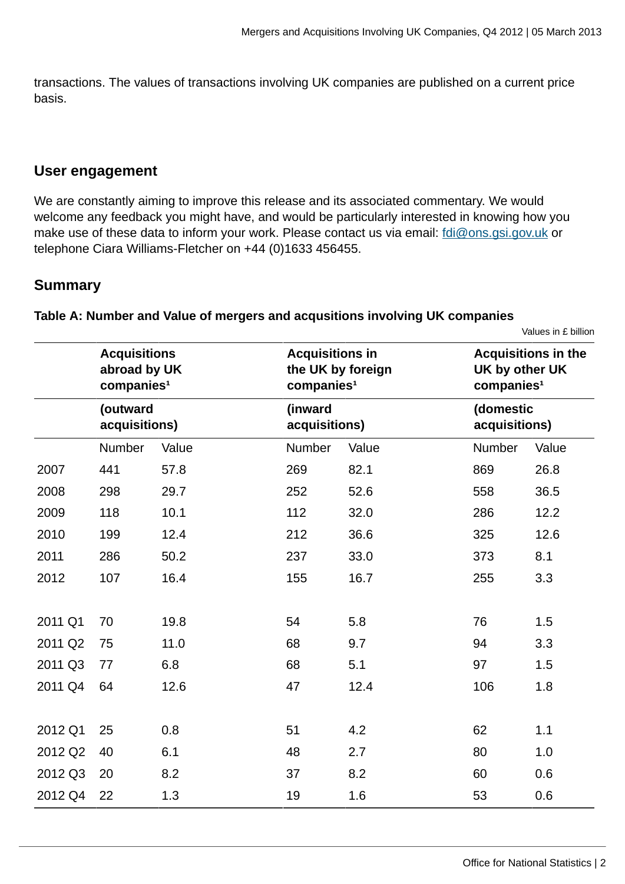transactions. The values of transactions involving UK companies are published on a current price basis.

### **User engagement**

We are constantly aiming to improve this release and its associated commentary. We would welcome any feedback you might have, and would be particularly interested in knowing how you make use of these data to inform your work. Please contact us via email: [fdi@ons.gsi.gov.uk](mailto:fdi@ons.gsi.gov.uk) or telephone Ciara Williams-Fletcher on +44 (0)1633 456455.

### **Summary**

#### **Table A: Number and Value of mergers and acqusitions involving UK companies**

Values in £ billion

|         | <b>Acquisitions</b><br>abroad by UK<br>companies <sup>1</sup> |       | <b>Acquisitions in</b><br>companies <sup>1</sup> | the UK by foreign | <b>Acquisitions in the</b><br>UK by other UK<br>companies <sup>1</sup> |                            |  |  |
|---------|---------------------------------------------------------------|-------|--------------------------------------------------|-------------------|------------------------------------------------------------------------|----------------------------|--|--|
|         | (outward<br>acquisitions)                                     |       | (inward<br>acquisitions)                         |                   |                                                                        | (domestic<br>acquisitions) |  |  |
|         | Number                                                        | Value | Number                                           | Value             | Number                                                                 | Value                      |  |  |
| 2007    | 441                                                           | 57.8  | 269                                              | 82.1              | 869                                                                    | 26.8                       |  |  |
| 2008    | 298                                                           | 29.7  | 252                                              | 52.6              | 558                                                                    | 36.5                       |  |  |
| 2009    | 118                                                           | 10.1  | 112                                              | 32.0              | 286                                                                    | 12.2                       |  |  |
| 2010    | 199                                                           | 12.4  | 212                                              | 36.6              | 325                                                                    | 12.6                       |  |  |
| 2011    | 286                                                           | 50.2  | 237                                              | 33.0              | 373                                                                    | 8.1                        |  |  |
| 2012    | 107                                                           | 16.4  | 155                                              | 16.7              | 255                                                                    | 3.3                        |  |  |
| 2011 Q1 | 70                                                            | 19.8  | 54                                               | 5.8               | 76                                                                     | 1.5                        |  |  |
| 2011 Q2 | 75                                                            | 11.0  | 68                                               | 9.7               | 94                                                                     | 3.3                        |  |  |
| 2011 Q3 | 77                                                            | 6.8   | 68                                               | 5.1               | 97                                                                     | 1.5                        |  |  |
| 2011 Q4 | 64                                                            | 12.6  | 47                                               | 12.4              | 106                                                                    | 1.8                        |  |  |
| 2012 Q1 | 25                                                            | 0.8   | 51                                               | 4.2               | 62                                                                     | 1.1                        |  |  |
| 2012 Q2 | 40                                                            | 6.1   | 48                                               | 2.7               | 80                                                                     | 1.0                        |  |  |
| 2012 Q3 | 20                                                            | 8.2   | 37                                               | 8.2               | 60                                                                     | 0.6                        |  |  |
| 2012 Q4 | 22                                                            | 1.3   | 19                                               | 1.6               | 53                                                                     | 0.6                        |  |  |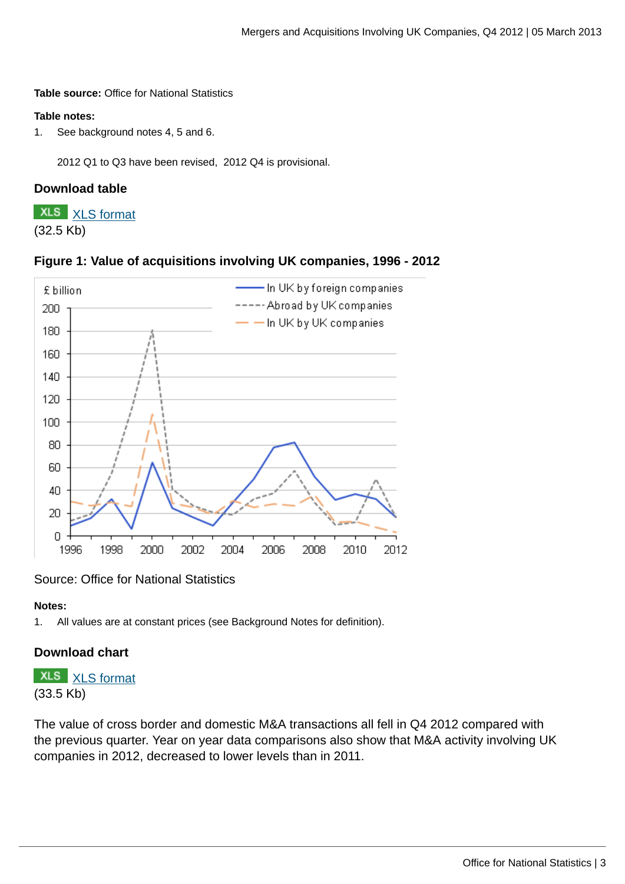#### **Table source:** Office for National Statistics

#### **Table notes:**

1. See background notes 4, 5 and 6.

2012 Q1 to Q3 have been revised, 2012 Q4 is provisional.

#### **Download table**

**XLS** [XLS format](http://www.ons.gov.uk:80/ons/rel/international-transactions/mergers-and-acquisitions-involving-uk-companies/q4-2012/prt-m-a-table-a.xls) (32.5 Kb)





#### Source: Office for National Statistics

#### **Notes:**

1. All values are at constant prices (see Background Notes for definition).

#### **Download chart**

# **XLS** [XLS format](http://www.ons.gov.uk:80/ons/rel/international-transactions/mergers-and-acquisitions-involving-uk-companies/q4-2012/chd-m-a-figure-1.xls)

(33.5 Kb)

The value of cross border and domestic M&A transactions all fell in Q4 2012 compared with the previous quarter. Year on year data comparisons also show that M&A activity involving UK companies in 2012, decreased to lower levels than in 2011.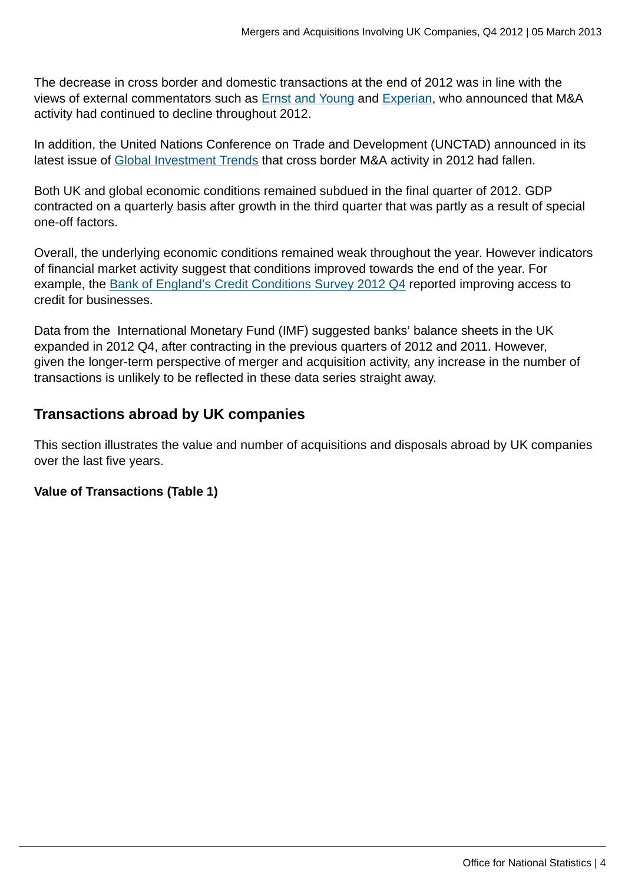The decrease in cross border and domestic transactions at the end of 2012 was in line with the views of external commentators such as [Ernst and Young](http://www.ey.com/UK/en/Newsroom/News-releases/12-12-13---UK-M-and-A-values-plummet-over-65-per-cent-in-2012-compared-to-the-credit-boom-of-2007) and [Experian](http://press.experian.com/United-Kingdom/Press-Release/manda-investment-hits-three-year-high-for-uks-large-firms.aspx), who announced that M&A activity had continued to decline throughout 2012.

In addition, the United Nations Conference on Trade and Development (UNCTAD) announced in its latest issue of [Global Investment Trends](http://unctad.org/en/PublicationsLibrary/webdiaeia2013d1_en.pdf) that cross border M&A activity in 2012 had fallen.

Both UK and global economic conditions remained subdued in the final quarter of 2012. GDP contracted on a quarterly basis after growth in the third quarter that was partly as a result of special one-off factors.

Overall, the underlying economic conditions remained weak throughout the year. However indicators of financial market activity suggest that conditions improved towards the end of the year. For example, the [Bank of England's Credit Conditions Survey 2012 Q4](http://www.bankofengland.co.uk/publications/Documents/other/monetary/ccs/creditconditionssurvey130103.pdf) reported improving access to credit for businesses.

Data from the International Monetary Fund (IMF) suggested banks' balance sheets in the UK expanded in 2012 Q4, after contracting in the previous quarters of 2012 and 2011. However, given the longer-term perspective of merger and acquisition activity, any increase in the number of transactions is unlikely to be reflected in these data series straight away.

# **Transactions abroad by UK companies**

This section illustrates the value and number of acquisitions and disposals abroad by UK companies over the last five years.

### **Value of Transactions (Table 1)**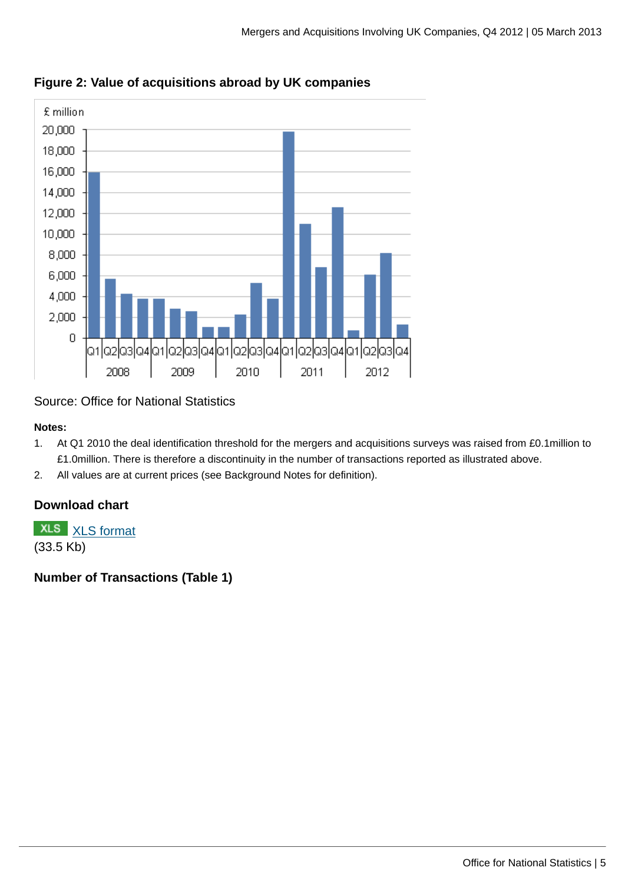

**Figure 2: Value of acquisitions abroad by UK companies**

### Source: Office for National Statistics

#### **Notes:**

- 1. At Q1 2010 the deal identification threshold for the mergers and acquisitions surveys was raised from £0.1million to £1.0million. There is therefore a discontinuity in the number of transactions reported as illustrated above.
- 2. All values are at current prices (see Background Notes for definition).

# **Download chart**

**XLS** [XLS format](http://www.ons.gov.uk:80/ons/rel/international-transactions/mergers-and-acquisitions-involving-uk-companies/q4-2012/chd-m-a-figure-2.xls)

(33.5 Kb)

**Number of Transactions (Table 1)**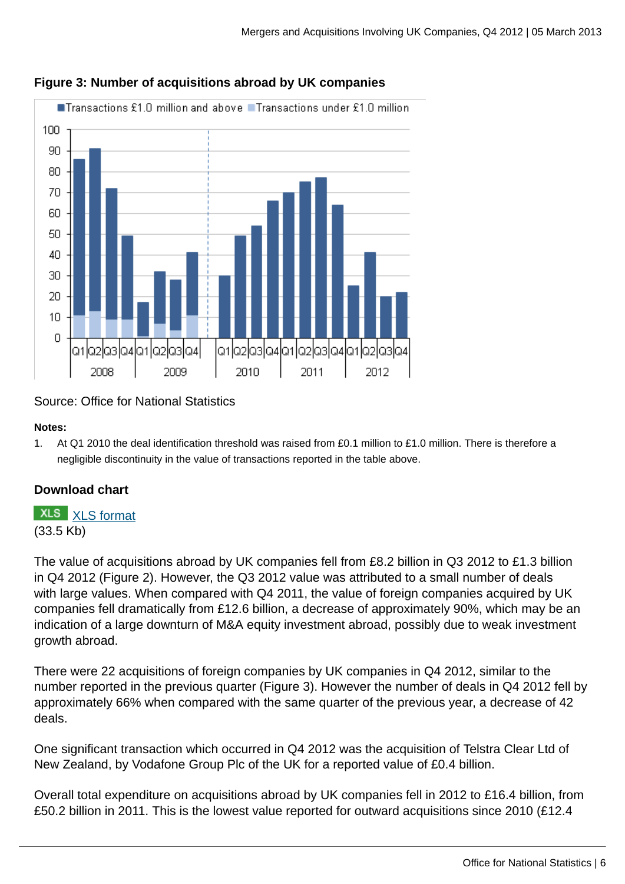

### **Figure 3: Number of acquisitions abroad by UK companies**

### Source: Office for National Statistics

#### **Notes:**

1. At Q1 2010 the deal identification threshold was raised from £0.1 million to £1.0 million. There is therefore a negligible discontinuity in the value of transactions reported in the table above.

### **Download chart**

# **XLS** [XLS format](http://www.ons.gov.uk:80/ons/rel/international-transactions/mergers-and-acquisitions-involving-uk-companies/q4-2012/chd-m-a-figure-3.xls)

(33.5 Kb)

The value of acquisitions abroad by UK companies fell from £8.2 billion in Q3 2012 to £1.3 billion in Q4 2012 (Figure 2). However, the Q3 2012 value was attributed to a small number of deals with large values. When compared with Q4 2011, the value of foreign companies acquired by UK companies fell dramatically from £12.6 billion, a decrease of approximately 90%, which may be an indication of a large downturn of M&A equity investment abroad, possibly due to weak investment growth abroad.

There were 22 acquisitions of foreign companies by UK companies in Q4 2012, similar to the number reported in the previous quarter (Figure 3). However the number of deals in Q4 2012 fell by approximately 66% when compared with the same quarter of the previous year, a decrease of 42 deals.

One significant transaction which occurred in Q4 2012 was the acquisition of Telstra Clear Ltd of New Zealand, by Vodafone Group Plc of the UK for a reported value of £0.4 billion.

Overall total expenditure on acquisitions abroad by UK companies fell in 2012 to £16.4 billion, from £50.2 billion in 2011. This is the lowest value reported for outward acquisitions since 2010 (£12.4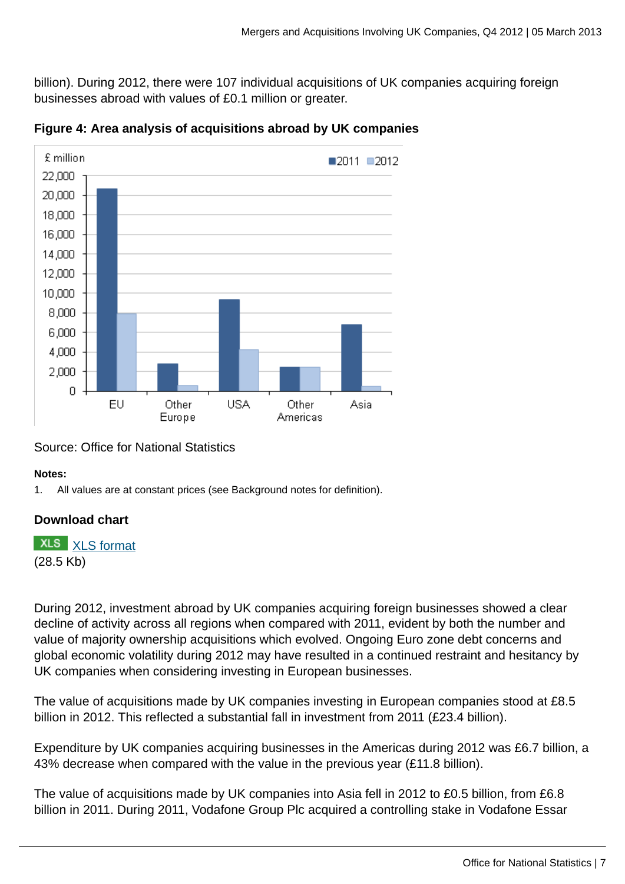billion). During 2012, there were 107 individual acquisitions of UK companies acquiring foreign businesses abroad with values of £0.1 million or greater.



**Figure 4: Area analysis of acquisitions abroad by UK companies**

### Source: Office for National Statistics

#### **Notes:**

1. All values are at constant prices (see Background notes for definition).

### **Download chart**

**XLS** [XLS format](http://www.ons.gov.uk:80/ons/rel/international-transactions/mergers-and-acquisitions-involving-uk-companies/q4-2012/chd-m-a-figure-4.xls) (28.5 Kb)

During 2012, investment abroad by UK companies acquiring foreign businesses showed a clear decline of activity across all regions when compared with 2011, evident by both the number and value of majority ownership acquisitions which evolved. Ongoing Euro zone debt concerns and global economic volatility during 2012 may have resulted in a continued restraint and hesitancy by UK companies when considering investing in European businesses.

The value of acquisitions made by UK companies investing in European companies stood at £8.5 billion in 2012. This reflected a substantial fall in investment from 2011 (£23.4 billion).

Expenditure by UK companies acquiring businesses in the Americas during 2012 was £6.7 billion, a 43% decrease when compared with the value in the previous year (£11.8 billion).

The value of acquisitions made by UK companies into Asia fell in 2012 to £0.5 billion, from £6.8 billion in 2011. During 2011, Vodafone Group Plc acquired a controlling stake in Vodafone Essar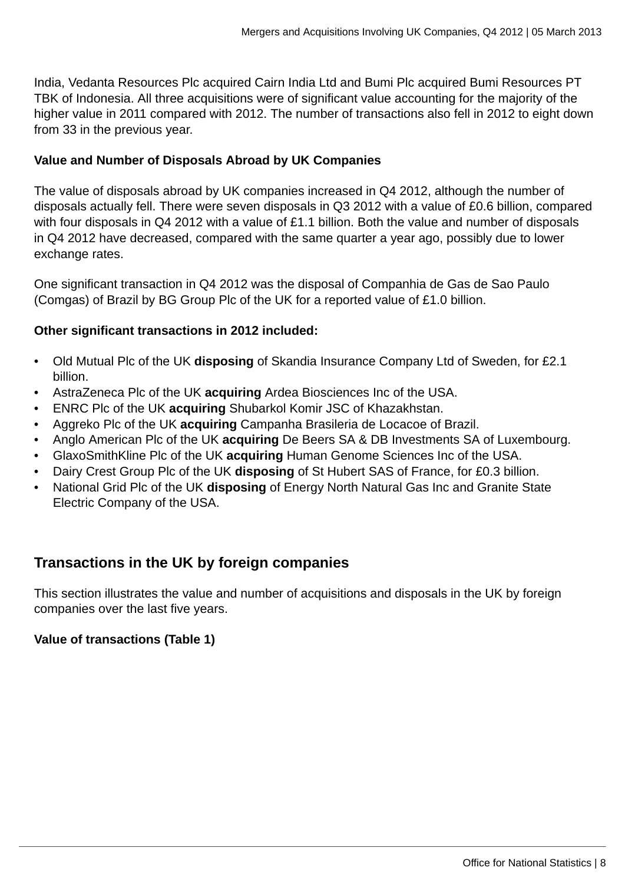India, Vedanta Resources Plc acquired Cairn India Ltd and Bumi Plc acquired Bumi Resources PT TBK of Indonesia. All three acquisitions were of significant value accounting for the majority of the higher value in 2011 compared with 2012. The number of transactions also fell in 2012 to eight down from 33 in the previous year.

#### **Value and Number of Disposals Abroad by UK Companies**

The value of disposals abroad by UK companies increased in Q4 2012, although the number of disposals actually fell. There were seven disposals in Q3 2012 with a value of £0.6 billion, compared with four disposals in Q4 2012 with a value of £1.1 billion. Both the value and number of disposals in Q4 2012 have decreased, compared with the same quarter a year ago, possibly due to lower exchange rates.

One significant transaction in Q4 2012 was the disposal of Companhia de Gas de Sao Paulo (Comgas) of Brazil by BG Group Plc of the UK for a reported value of £1.0 billion.

#### **Other significant transactions in 2012 included:**

- Old Mutual Plc of the UK **disposing** of Skandia Insurance Company Ltd of Sweden, for £2.1 billion.
- AstraZeneca Plc of the UK **acquiring** Ardea Biosciences Inc of the USA.
- ENRC Plc of the UK **acquiring** Shubarkol Komir JSC of Khazakhstan.
- Aggreko Plc of the UK **acquiring** Campanha Brasileria de Locacoe of Brazil.
- Anglo American Plc of the UK **acquiring** De Beers SA & DB Investments SA of Luxembourg.
- GlaxoSmithKline Plc of the UK **acquiring** Human Genome Sciences Inc of the USA.
- Dairy Crest Group Plc of the UK **disposing** of St Hubert SAS of France, for £0.3 billion.
- National Grid Plc of the UK **disposing** of Energy North Natural Gas Inc and Granite State Electric Company of the USA.

# **Transactions in the UK by foreign companies**

This section illustrates the value and number of acquisitions and disposals in the UK by foreign companies over the last five years.

#### **Value of transactions (Table 1)**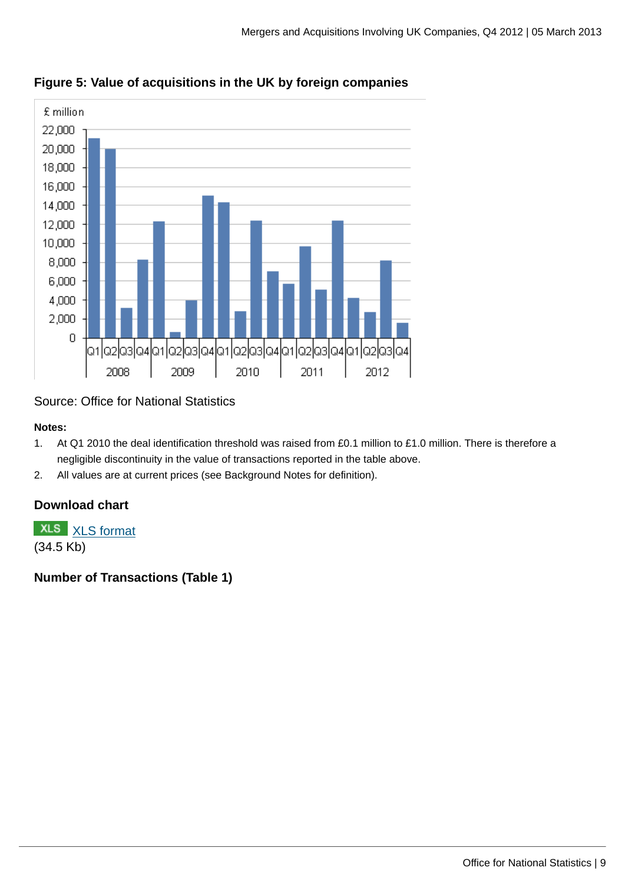

**Figure 5: Value of acquisitions in the UK by foreign companies**

# Source: Office for National Statistics

#### **Notes:**

- 1. At Q1 2010 the deal identification threshold was raised from £0.1 million to £1.0 million. There is therefore a negligible discontinuity in the value of transactions reported in the table above.
- 2. All values are at current prices (see Background Notes for definition).

# **Download chart**

**XLS** [XLS format](http://www.ons.gov.uk:80/ons/rel/international-transactions/mergers-and-acquisitions-involving-uk-companies/q4-2012/chd-m-a-figure-5.xls)

(34.5 Kb)

# **Number of Transactions (Table 1)**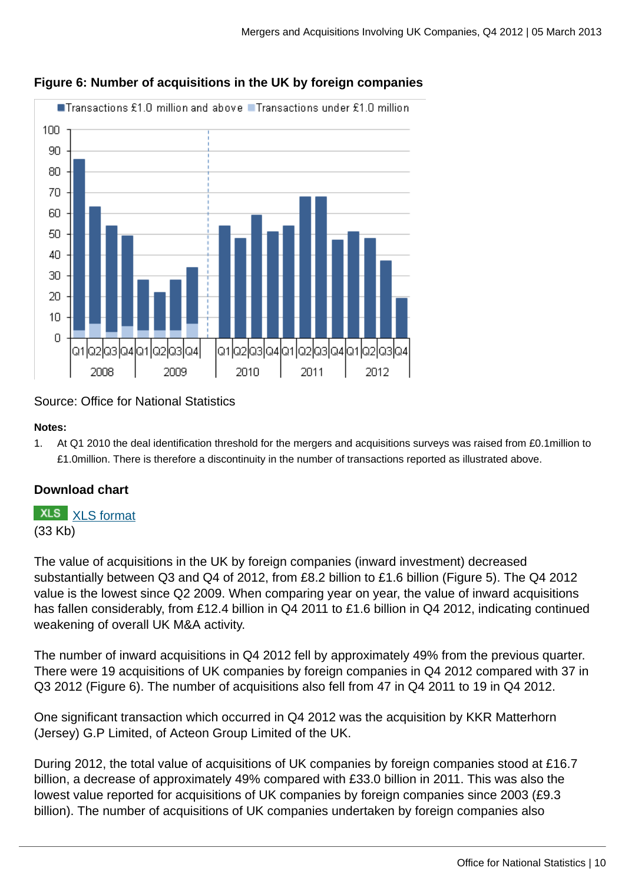

### **Figure 6: Number of acquisitions in the UK by foreign companies**

### Source: Office for National Statistics

#### **Notes:**

1. At Q1 2010 the deal identification threshold for the mergers and acquisitions surveys was raised from £0.1million to £1.0million. There is therefore a discontinuity in the number of transactions reported as illustrated above.

### **Download chart**

# **XLS** [XLS format](http://www.ons.gov.uk:80/ons/rel/international-transactions/mergers-and-acquisitions-involving-uk-companies/q4-2012/chd-m-a-figure-6.xls)

(33 Kb)

The value of acquisitions in the UK by foreign companies (inward investment) decreased substantially between Q3 and Q4 of 2012, from £8.2 billion to £1.6 billion (Figure 5). The Q4 2012 value is the lowest since Q2 2009. When comparing year on year, the value of inward acquisitions has fallen considerably, from £12.4 billion in Q4 2011 to £1.6 billion in Q4 2012, indicating continued weakening of overall UK M&A activity.

The number of inward acquisitions in Q4 2012 fell by approximately 49% from the previous quarter. There were 19 acquisitions of UK companies by foreign companies in Q4 2012 compared with 37 in Q3 2012 (Figure 6). The number of acquisitions also fell from 47 in Q4 2011 to 19 in Q4 2012.

One significant transaction which occurred in Q4 2012 was the acquisition by KKR Matterhorn (Jersey) G.P Limited, of Acteon Group Limited of the UK.

During 2012, the total value of acquisitions of UK companies by foreign companies stood at £16.7 billion, a decrease of approximately 49% compared with £33.0 billion in 2011. This was also the lowest value reported for acquisitions of UK companies by foreign companies since 2003 (£9.3 billion). The number of acquisitions of UK companies undertaken by foreign companies also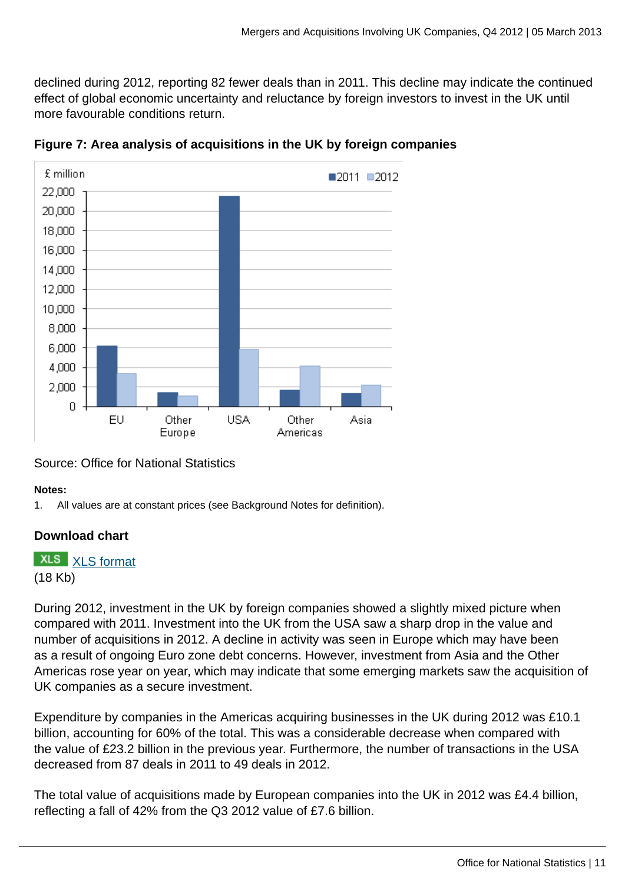declined during 2012, reporting 82 fewer deals than in 2011. This decline may indicate the continued effect of global economic uncertainty and reluctance by foreign investors to invest in the UK until more favourable conditions return.





### Source: Office for National Statistics

#### **Notes:**

1. All values are at constant prices (see Background Notes for definition).

### **Download chart**

**XLS** [XLS format](http://www.ons.gov.uk:80/ons/rel/international-transactions/mergers-and-acquisitions-involving-uk-companies/q4-2012/chd-m-a-figure-7.xls)

(18 Kb)

During 2012, investment in the UK by foreign companies showed a slightly mixed picture when compared with 2011. Investment into the UK from the USA saw a sharp drop in the value and number of acquisitions in 2012. A decline in activity was seen in Europe which may have been as a result of ongoing Euro zone debt concerns. However, investment from Asia and the Other Americas rose year on year, which may indicate that some emerging markets saw the acquisition of UK companies as a secure investment.

Expenditure by companies in the Americas acquiring businesses in the UK during 2012 was £10.1 billion, accounting for 60% of the total. This was a considerable decrease when compared with the value of £23.2 billion in the previous year. Furthermore, the number of transactions in the USA decreased from 87 deals in 2011 to 49 deals in 2012.

The total value of acquisitions made by European companies into the UK in 2012 was £4.4 billion, reflecting a fall of 42% from the Q3 2012 value of £7.6 billion.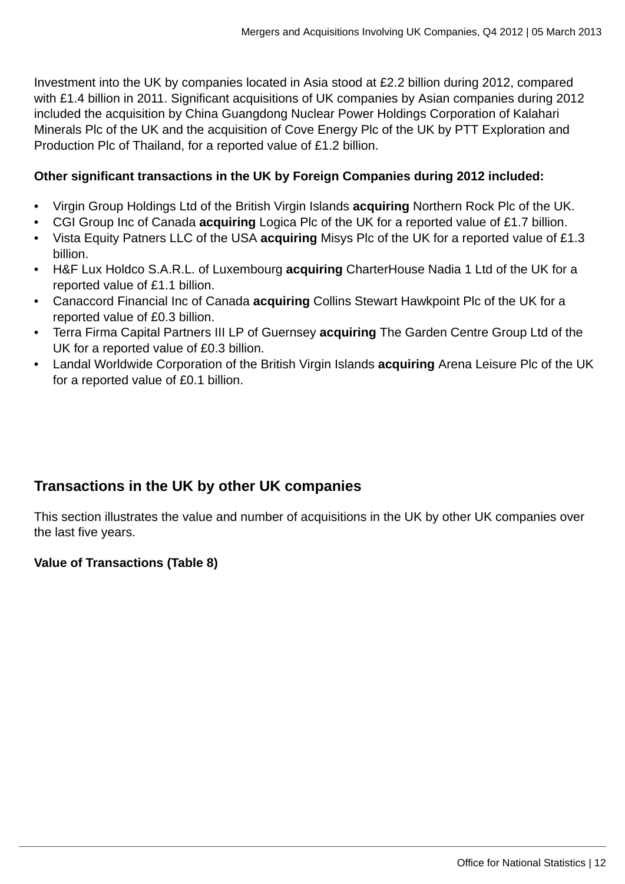Investment into the UK by companies located in Asia stood at £2.2 billion during 2012, compared with £1.4 billion in 2011. Significant acquisitions of UK companies by Asian companies during 2012 included the acquisition by China Guangdong Nuclear Power Holdings Corporation of Kalahari Minerals Plc of the UK and the acquisition of Cove Energy Plc of the UK by PTT Exploration and Production Plc of Thailand, for a reported value of £1.2 billion.

#### **Other significant transactions in the UK by Foreign Companies during 2012 included:**

- Virgin Group Holdings Ltd of the British Virgin Islands **acquiring** Northern Rock Plc of the UK.
- CGI Group Inc of Canada **acquiring** Logica Plc of the UK for a reported value of £1.7 billion.
- Vista Equity Patners LLC of the USA **acquiring** Misys Plc of the UK for a reported value of £1.3 billion.
- H&F Lux Holdco S.A.R.L. of Luxembourg **acquiring** CharterHouse Nadia 1 Ltd of the UK for a reported value of £1.1 billion.
- Canaccord Financial Inc of Canada **acquiring** Collins Stewart Hawkpoint Plc of the UK for a reported value of £0.3 billion.
- Terra Firma Capital Partners III LP of Guernsey **acquiring** The Garden Centre Group Ltd of the UK for a reported value of £0.3 billion.
- Landal Worldwide Corporation of the British Virgin Islands **acquiring** Arena Leisure Plc of the UK for a reported value of £0.1 billion.

# **Transactions in the UK by other UK companies**

This section illustrates the value and number of acquisitions in the UK by other UK companies over the last five years.

### **Value of Transactions (Table 8)**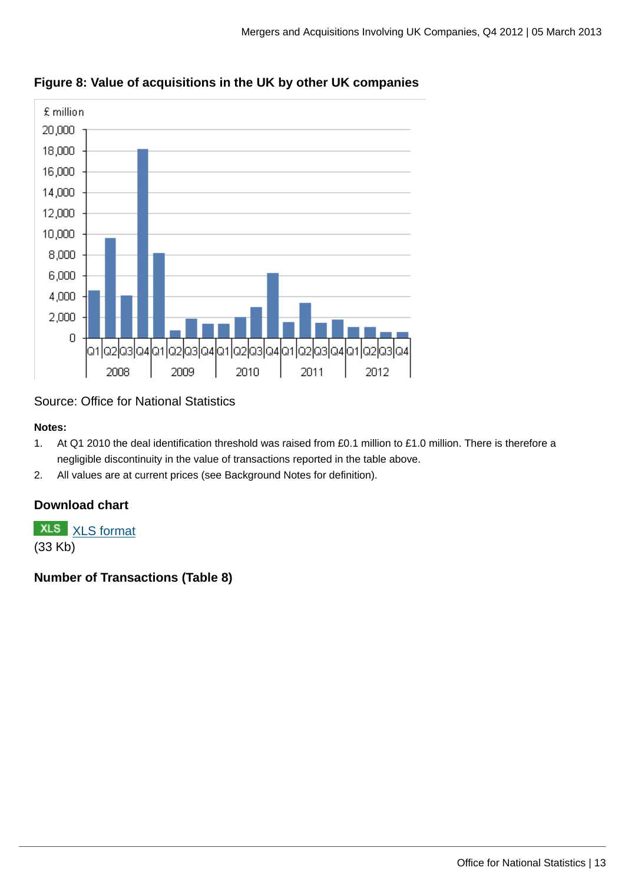

### **Figure 8: Value of acquisitions in the UK by other UK companies**

### Source: Office for National Statistics

#### **Notes:**

- 1. At Q1 2010 the deal identification threshold was raised from £0.1 million to £1.0 million. There is therefore a negligible discontinuity in the value of transactions reported in the table above.
- 2. All values are at current prices (see Background Notes for definition).

# **Download chart**

**XLS** [XLS format](http://www.ons.gov.uk:80/ons/rel/international-transactions/mergers-and-acquisitions-involving-uk-companies/q4-2012/chd-m-a-figure-8.xls)

(33 Kb)

# **Number of Transactions (Table 8)**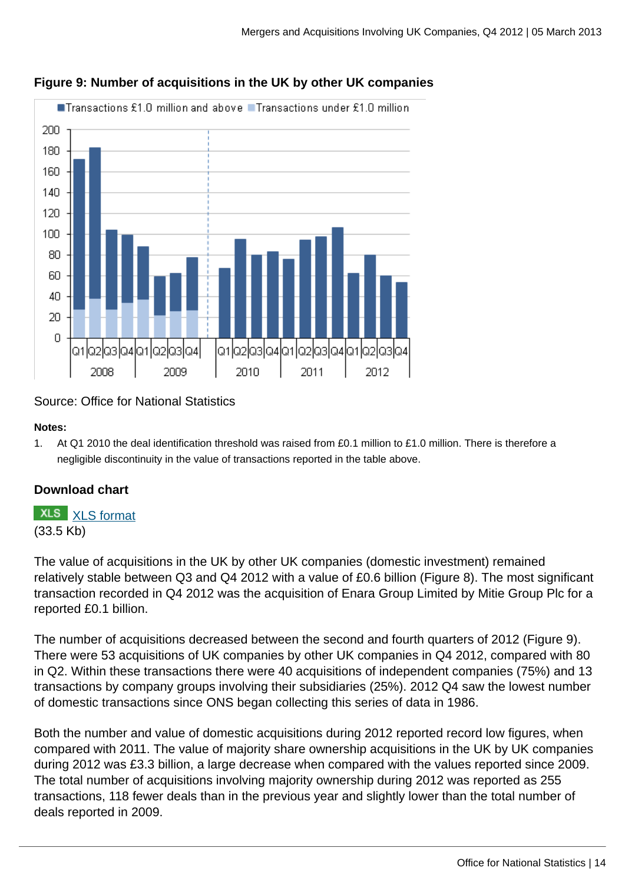

### **Figure 9: Number of acquisitions in the UK by other UK companies**

### Source: Office for National Statistics

#### **Notes:**

1. At Q1 2010 the deal identification threshold was raised from £0.1 million to £1.0 million. There is therefore a negligible discontinuity in the value of transactions reported in the table above.

### **Download chart**

# **XLS** [XLS format](http://www.ons.gov.uk:80/ons/rel/international-transactions/mergers-and-acquisitions-involving-uk-companies/q4-2012/chd-m-a-figure-9.xls)

(33.5 Kb)

The value of acquisitions in the UK by other UK companies (domestic investment) remained relatively stable between Q3 and Q4 2012 with a value of £0.6 billion (Figure 8). The most significant transaction recorded in Q4 2012 was the acquisition of Enara Group Limited by Mitie Group Plc for a reported £0.1 billion.

The number of acquisitions decreased between the second and fourth quarters of 2012 (Figure 9). There were 53 acquisitions of UK companies by other UK companies in Q4 2012, compared with 80 in Q2. Within these transactions there were 40 acquisitions of independent companies (75%) and 13 transactions by company groups involving their subsidiaries (25%). 2012 Q4 saw the lowest number of domestic transactions since ONS began collecting this series of data in 1986.

Both the number and value of domestic acquisitions during 2012 reported record low figures, when compared with 2011. The value of majority share ownership acquisitions in the UK by UK companies during 2012 was £3.3 billion, a large decrease when compared with the values reported since 2009. The total number of acquisitions involving majority ownership during 2012 was reported as 255 transactions, 118 fewer deals than in the previous year and slightly lower than the total number of deals reported in 2009.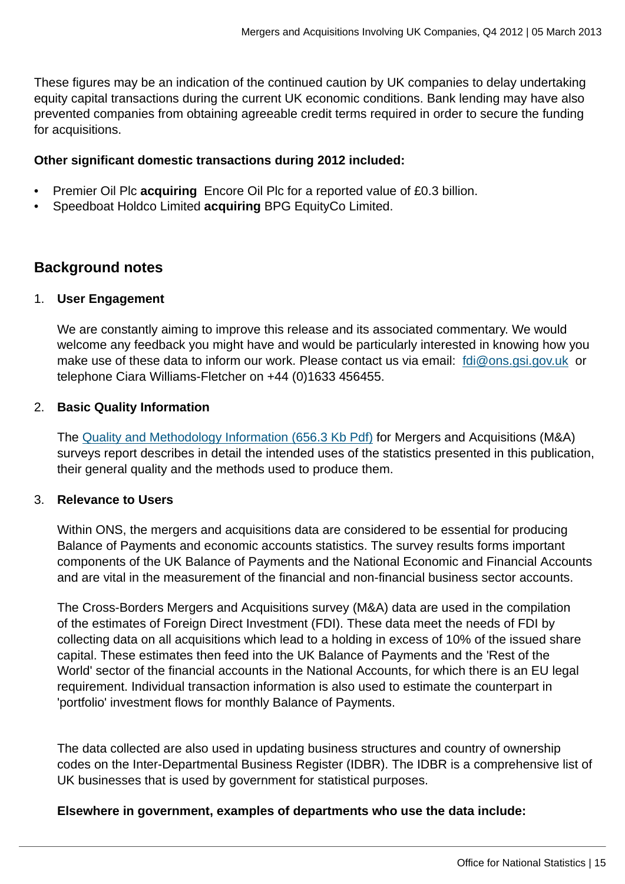These figures may be an indication of the continued caution by UK companies to delay undertaking equity capital transactions during the current UK economic conditions. Bank lending may have also prevented companies from obtaining agreeable credit terms required in order to secure the funding for acquisitions.

#### **Other significant domestic transactions during 2012 included:**

- Premier Oil Plc **acquiring** Encore Oil Plc for a reported value of £0.3 billion.
- Speedboat Holdco Limited **acquiring** BPG EquityCo Limited.

# **Background notes**

#### 1. **User Engagement**

We are constantly aiming to improve this release and its associated commentary. We would welcome any feedback you might have and would be particularly interested in knowing how you make use of these data to inform our work. Please contact us via email: [fdi@ons.gsi.gov.uk](mailto:fdi@ons.gsi.gov.uk) or telephone Ciara Williams-Fletcher on +44 (0)1633 456455.

#### 2. **Basic Quality Information**

The [Quality and Methodology Information \(656.3 Kb Pdf\)](http://www.ons.gov.uk:80/ons/guide-method/method-quality/quality/quality-information/business-and-energy/mergers-and-acquisitions.pdf) for Mergers and Acquisitions (M&A) surveys report describes in detail the intended uses of the statistics presented in this publication, their general quality and the methods used to produce them.

#### 3. **Relevance to Users**

Within ONS, the mergers and acquisitions data are considered to be essential for producing Balance of Payments and economic accounts statistics. The survey results forms important components of the UK Balance of Payments and the National Economic and Financial Accounts and are vital in the measurement of the financial and non-financial business sector accounts.

The Cross-Borders Mergers and Acquisitions survey (M&A) data are used in the compilation of the estimates of Foreign Direct Investment (FDI). These data meet the needs of FDI by collecting data on all acquisitions which lead to a holding in excess of 10% of the issued share capital. These estimates then feed into the UK Balance of Payments and the 'Rest of the World' sector of the financial accounts in the National Accounts, for which there is an EU legal requirement. Individual transaction information is also used to estimate the counterpart in 'portfolio' investment flows for monthly Balance of Payments.

The data collected are also used in updating business structures and country of ownership codes on the Inter-Departmental Business Register (IDBR). The IDBR is a comprehensive list of UK businesses that is used by government for statistical purposes.

#### **Elsewhere in government, examples of departments who use the data include:**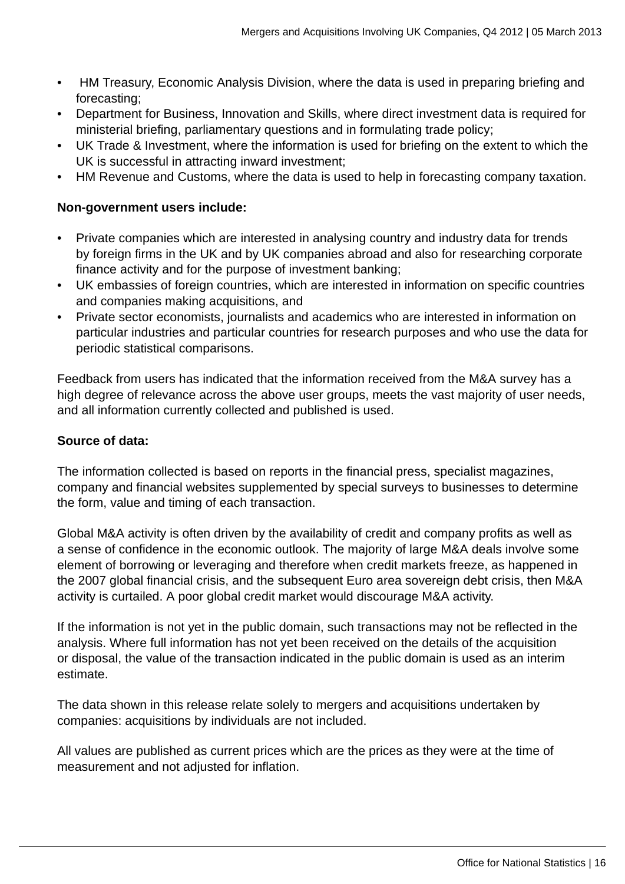- HM Treasury, Economic Analysis Division, where the data is used in preparing briefing and forecasting;
- Department for Business, Innovation and Skills, where direct investment data is required for ministerial briefing, parliamentary questions and in formulating trade policy;
- UK Trade & Investment, where the information is used for briefing on the extent to which the UK is successful in attracting inward investment;
- HM Revenue and Customs, where the data is used to help in forecasting company taxation.

### **Non-government users include:**

- Private companies which are interested in analysing country and industry data for trends by foreign firms in the UK and by UK companies abroad and also for researching corporate finance activity and for the purpose of investment banking;
- UK embassies of foreign countries, which are interested in information on specific countries and companies making acquisitions, and
- Private sector economists, journalists and academics who are interested in information on particular industries and particular countries for research purposes and who use the data for periodic statistical comparisons.

Feedback from users has indicated that the information received from the M&A survey has a high degree of relevance across the above user groups, meets the vast majority of user needs, and all information currently collected and published is used.

### **Source of data:**

The information collected is based on reports in the financial press, specialist magazines, company and financial websites supplemented by special surveys to businesses to determine the form, value and timing of each transaction.

Global M&A activity is often driven by the availability of credit and company profits as well as a sense of confidence in the economic outlook. The majority of large M&A deals involve some element of borrowing or leveraging and therefore when credit markets freeze, as happened in the 2007 global financial crisis, and the subsequent Euro area sovereign debt crisis, then M&A activity is curtailed. A poor global credit market would discourage M&A activity.

If the information is not yet in the public domain, such transactions may not be reflected in the analysis. Where full information has not yet been received on the details of the acquisition or disposal, the value of the transaction indicated in the public domain is used as an interim estimate.

The data shown in this release relate solely to mergers and acquisitions undertaken by companies: acquisitions by individuals are not included.

All values are published as current prices which are the prices as they were at the time of measurement and not adjusted for inflation.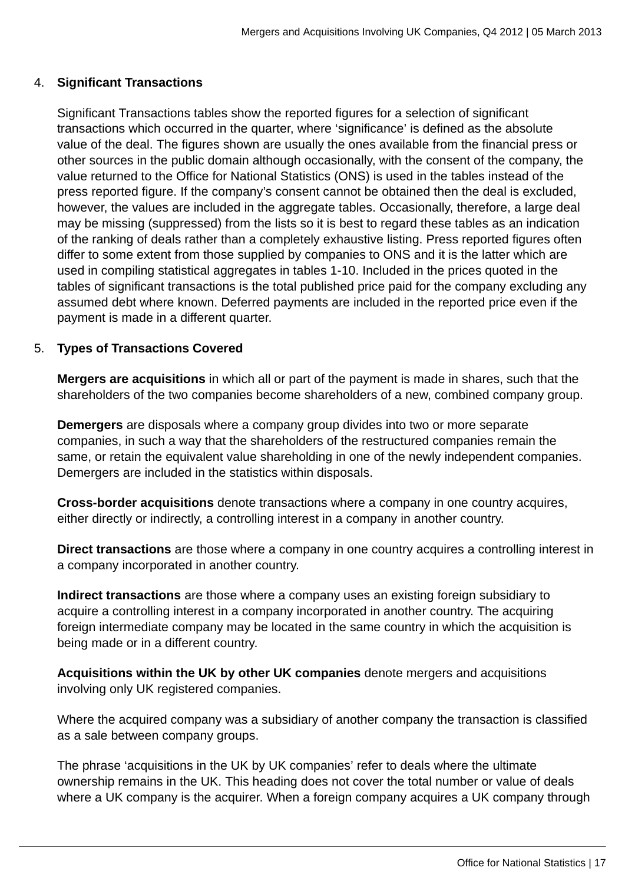#### 4. **Significant Transactions**

Significant Transactions tables show the reported figures for a selection of significant transactions which occurred in the quarter, where 'significance' is defined as the absolute value of the deal. The figures shown are usually the ones available from the financial press or other sources in the public domain although occasionally, with the consent of the company, the value returned to the Office for National Statistics (ONS) is used in the tables instead of the press reported figure. If the company's consent cannot be obtained then the deal is excluded, however, the values are included in the aggregate tables. Occasionally, therefore, a large deal may be missing (suppressed) from the lists so it is best to regard these tables as an indication of the ranking of deals rather than a completely exhaustive listing. Press reported figures often differ to some extent from those supplied by companies to ONS and it is the latter which are used in compiling statistical aggregates in tables 1-10. Included in the prices quoted in the tables of significant transactions is the total published price paid for the company excluding any assumed debt where known. Deferred payments are included in the reported price even if the payment is made in a different quarter.

### 5. **Types of Transactions Covered**

**Mergers are acquisitions** in which all or part of the payment is made in shares, such that the shareholders of the two companies become shareholders of a new, combined company group.

**Demergers** are disposals where a company group divides into two or more separate companies, in such a way that the shareholders of the restructured companies remain the same, or retain the equivalent value shareholding in one of the newly independent companies. Demergers are included in the statistics within disposals.

**Cross-border acquisitions** denote transactions where a company in one country acquires, either directly or indirectly, a controlling interest in a company in another country.

**Direct transactions** are those where a company in one country acquires a controlling interest in a company incorporated in another country.

**Indirect transactions** are those where a company uses an existing foreign subsidiary to acquire a controlling interest in a company incorporated in another country. The acquiring foreign intermediate company may be located in the same country in which the acquisition is being made or in a different country.

**Acquisitions within the UK by other UK companies** denote mergers and acquisitions involving only UK registered companies.

Where the acquired company was a subsidiary of another company the transaction is classified as a sale between company groups.

The phrase 'acquisitions in the UK by UK companies' refer to deals where the ultimate ownership remains in the UK. This heading does not cover the total number or value of deals where a UK company is the acquirer. When a foreign company acquires a UK company through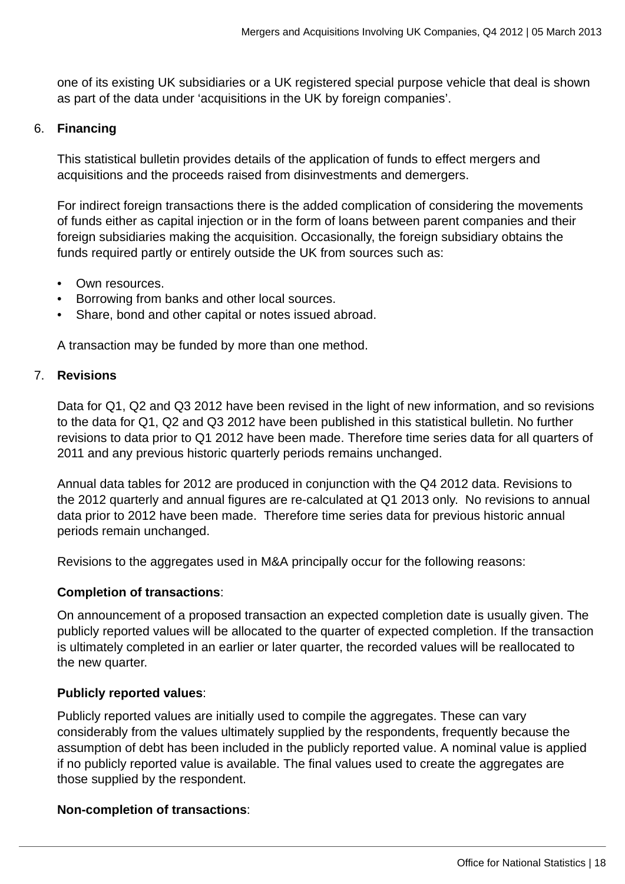one of its existing UK subsidiaries or a UK registered special purpose vehicle that deal is shown as part of the data under 'acquisitions in the UK by foreign companies'.

#### 6. **Financing**

This statistical bulletin provides details of the application of funds to effect mergers and acquisitions and the proceeds raised from disinvestments and demergers.

For indirect foreign transactions there is the added complication of considering the movements of funds either as capital injection or in the form of loans between parent companies and their foreign subsidiaries making the acquisition. Occasionally, the foreign subsidiary obtains the funds required partly or entirely outside the UK from sources such as:

- Own resources.
- Borrowing from banks and other local sources.
- Share, bond and other capital or notes issued abroad.

A transaction may be funded by more than one method.

#### 7. **Revisions**

Data for Q1, Q2 and Q3 2012 have been revised in the light of new information, and so revisions to the data for Q1, Q2 and Q3 2012 have been published in this statistical bulletin. No further revisions to data prior to Q1 2012 have been made. Therefore time series data for all quarters of 2011 and any previous historic quarterly periods remains unchanged.

Annual data tables for 2012 are produced in conjunction with the Q4 2012 data. Revisions to the 2012 quarterly and annual figures are re-calculated at Q1 2013 only. No revisions to annual data prior to 2012 have been made. Therefore time series data for previous historic annual periods remain unchanged.

Revisions to the aggregates used in M&A principally occur for the following reasons:

#### **Completion of transactions**:

On announcement of a proposed transaction an expected completion date is usually given. The publicly reported values will be allocated to the quarter of expected completion. If the transaction is ultimately completed in an earlier or later quarter, the recorded values will be reallocated to the new quarter.

#### **Publicly reported values**:

Publicly reported values are initially used to compile the aggregates. These can vary considerably from the values ultimately supplied by the respondents, frequently because the assumption of debt has been included in the publicly reported value. A nominal value is applied if no publicly reported value is available. The final values used to create the aggregates are those supplied by the respondent.

#### **Non-completion of transactions**: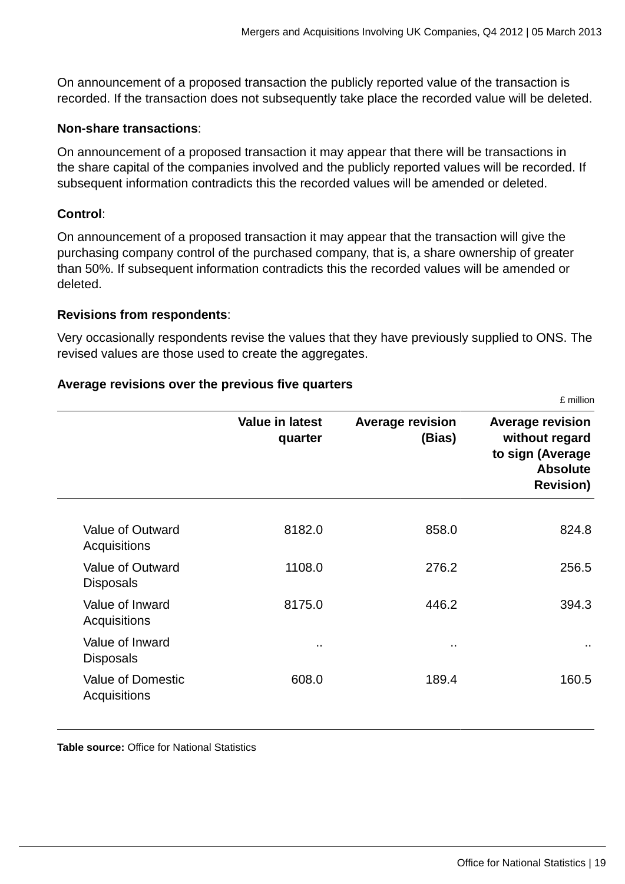On announcement of a proposed transaction the publicly reported value of the transaction is recorded. If the transaction does not subsequently take place the recorded value will be deleted.

#### **Non-share transactions**:

On announcement of a proposed transaction it may appear that there will be transactions in the share capital of the companies involved and the publicly reported values will be recorded. If subsequent information contradicts this the recorded values will be amended or deleted.

#### **Control**:

On announcement of a proposed transaction it may appear that the transaction will give the purchasing company control of the purchased company, that is, a share ownership of greater than 50%. If subsequent information contradicts this the recorded values will be amended or deleted.

#### **Revisions from respondents**:

Very occasionally respondents revise the values that they have previously supplied to ONS. The revised values are those used to create the aggregates.

#### **Average revisions over the previous five quarters**

|                                          | <b>Value in latest</b><br>quarter | <b>Average revision</b><br>(Bias) | <b>Average revision</b><br>without regard<br>to sign (Average<br><b>Absolute</b><br><b>Revision)</b> |
|------------------------------------------|-----------------------------------|-----------------------------------|------------------------------------------------------------------------------------------------------|
|                                          |                                   |                                   |                                                                                                      |
| Value of Outward<br>Acquisitions         | 8182.0                            | 858.0                             | 824.8                                                                                                |
| Value of Outward<br><b>Disposals</b>     | 1108.0                            | 276.2                             | 256.5                                                                                                |
| Value of Inward<br>Acquisitions          | 8175.0                            | 446.2                             | 394.3                                                                                                |
| Value of Inward<br><b>Disposals</b>      | $\sim$                            | $\sim$                            | $\sim$                                                                                               |
| <b>Value of Domestic</b><br>Acquisitions | 608.0                             | 189.4                             | 160.5                                                                                                |
|                                          |                                   |                                   |                                                                                                      |

**Table source:** Office for National Statistics

£ million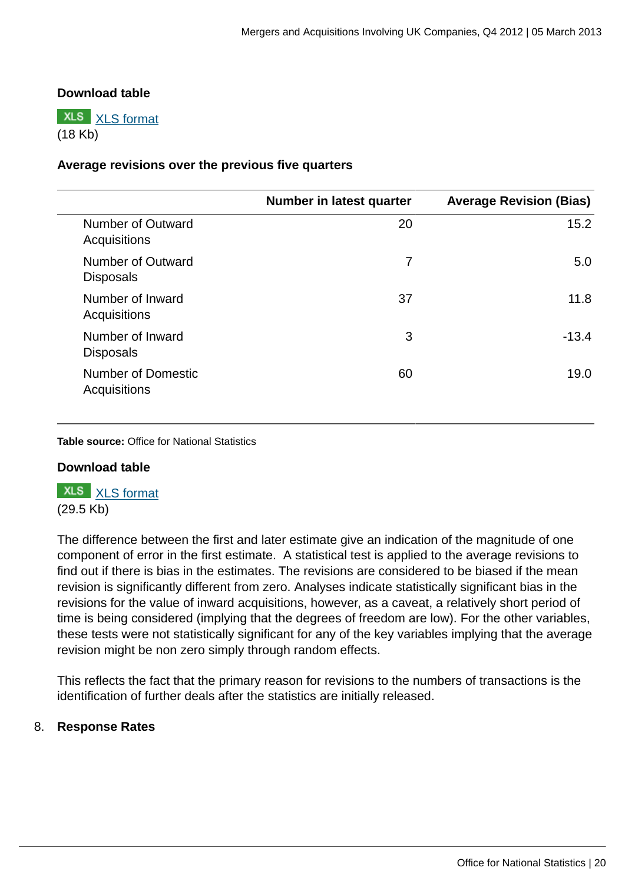#### **Download table**

**XLS** [XLS format](http://www.ons.gov.uk:80/ons/rel/international-transactions/mergers-and-acquisitions-involving-uk-companies/q4-2012/prt-m-a-revisions-values.xls) (18 Kb)

#### **Average revisions over the previous five quarters**

|                                           | Number in latest quarter | <b>Average Revision (Bias)</b> |
|-------------------------------------------|--------------------------|--------------------------------|
| Number of Outward<br>Acquisitions         | 20                       | 15.2                           |
| Number of Outward<br><b>Disposals</b>     | 7                        | 5.0                            |
| Number of Inward<br>Acquisitions          | 37                       | 11.8                           |
| Number of Inward<br><b>Disposals</b>      | 3                        | $-13.4$                        |
| <b>Number of Domestic</b><br>Acquisitions | 60                       | 19.0                           |

**Table source:** Office for National Statistics

#### **Download table**

**XLS** [XLS format](http://www.ons.gov.uk:80/ons/rel/international-transactions/mergers-and-acquisitions-involving-uk-companies/q4-2012/prt-m-a-revisions-no.xls) (29.5 Kb)

The difference between the first and later estimate give an indication of the magnitude of one component of error in the first estimate. A statistical test is applied to the average revisions to find out if there is bias in the estimates. The revisions are considered to be biased if the mean revision is significantly different from zero. Analyses indicate statistically significant bias in the revisions for the value of inward acquisitions, however, as a caveat, a relatively short period of time is being considered (implying that the degrees of freedom are low). For the other variables, these tests were not statistically significant for any of the key variables implying that the average revision might be non zero simply through random effects.

This reflects the fact that the primary reason for revisions to the numbers of transactions is the identification of further deals after the statistics are initially released.

#### 8. **Response Rates**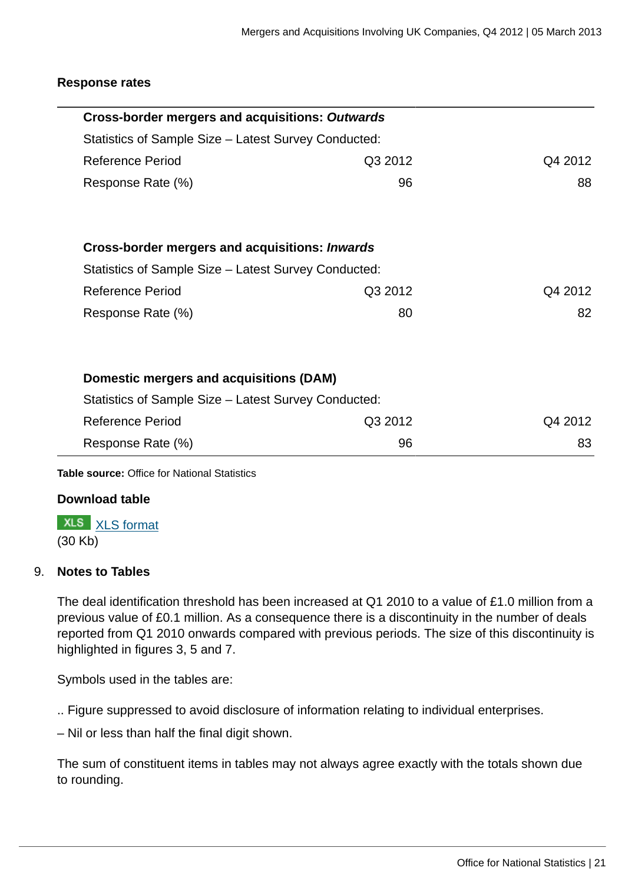#### **Response rates**

| <b>Cross-border mergers and acquisitions: Outwards</b> |         |         |
|--------------------------------------------------------|---------|---------|
| Statistics of Sample Size – Latest Survey Conducted:   |         |         |
| <b>Reference Period</b>                                | Q3 2012 | Q4 2012 |
| Response Rate (%)                                      | 96      | 88      |
| <b>Cross-border mergers and acquisitions: Inwards</b>  |         |         |
| Statistics of Sample Size – Latest Survey Conducted:   |         |         |
| <b>Reference Period</b>                                | Q3 2012 | Q4 2012 |
| Response Rate (%)                                      | 80      | 82      |
| Domestic mergers and acquisitions (DAM)                |         |         |
| Statistics of Sample Size - Latest Survey Conducted:   |         |         |
| <b>Reference Period</b>                                | Q3 2012 | Q4 2012 |
| Response Rate (%)                                      | 96      | 83      |

**Table source:** Office for National Statistics

#### **Download table**

**XLS** [XLS format](http://www.ons.gov.uk:80/ons/rel/international-transactions/mergers-and-acquisitions-involving-uk-companies/q4-2012/prt-m-a-response.xls) (30 Kb)

#### 9. **Notes to Tables**

The deal identification threshold has been increased at Q1 2010 to a value of £1.0 million from a previous value of £0.1 million. As a consequence there is a discontinuity in the number of deals reported from Q1 2010 onwards compared with previous periods. The size of this discontinuity is highlighted in figures 3, 5 and 7.

Symbols used in the tables are:

.. Figure suppressed to avoid disclosure of information relating to individual enterprises.

– Nil or less than half the final digit shown.

The sum of constituent items in tables may not always agree exactly with the totals shown due to rounding.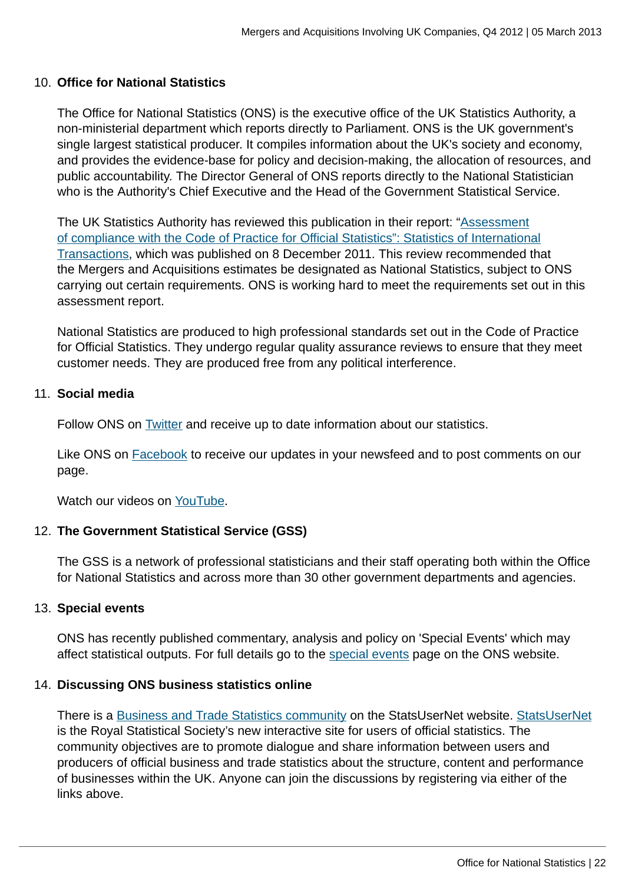#### 10. **Office for National Statistics**

The Office for National Statistics (ONS) is the executive office of the UK Statistics Authority, a non-ministerial department which reports directly to Parliament. ONS is the UK government's single largest statistical producer. It compiles information about the UK's society and economy, and provides the evidence-base for policy and decision-making, the allocation of resources, and public accountability. The Director General of ONS reports directly to the National Statistician who is the Authority's Chief Executive and the Head of the Government Statistical Service.

The UK Statistics Authority has reviewed this publication in their report: ["Assessment](http://www.statisticsauthority.gov.uk/assessment/assessment/assessment-reports/assessment-report-164---statistics-on-international-transactions.pdf) [of compliance with the Code of Practice for Official Statistics": Statistics of International](http://www.statisticsauthority.gov.uk/assessment/assessment/assessment-reports/assessment-report-164---statistics-on-international-transactions.pdf) [Transactions,](http://www.statisticsauthority.gov.uk/assessment/assessment/assessment-reports/assessment-report-164---statistics-on-international-transactions.pdf) which was published on 8 December 2011. This review recommended that the Mergers and Acquisitions estimates be designated as National Statistics, subject to ONS carrying out certain requirements. ONS is working hard to meet the requirements set out in this assessment report.

National Statistics are produced to high professional standards set out in the Code of Practice for Official Statistics. They undergo regular quality assurance reviews to ensure that they meet customer needs. They are produced free from any political interference.

#### 11. **Social media**

Follow ONS on [Twitter](http://www.ons.gov.uk:80/ons/external-links/social-media/twitter.html) and receive up to date information about our statistics.

Like ONS on **[Facebook](http://www.ons.gov.uk:80/ons/external-links/social-media/index.html)** to receive our updates in your newsfeed and to post comments on our page.

Watch our videos on [YouTube.](http://www.ons.gov.uk/ons/external-links/social-media/youtube.html)

#### 12. **The Government Statistical Service (GSS)**

The GSS is a network of professional statisticians and their staff operating both within the Office for National Statistics and across more than 30 other government departments and agencies.

#### 13. **Special events**

ONS has recently published commentary, analysis and policy on 'Special Events' which may affect statistical outputs. For full details go to the [special events](http://www.ons.gov.uk:80/ons/guide-method/method-quality/general-methodology/special-events-group/index.html) page on the ONS website.

#### 14. **Discussing ONS business statistics online**

There is a [Business and Trade Statistics community](http://www.statsusernet.org.uk/StatsUserNet/Communities/ViewCommunities/CommunityDetails/?CommunityKey=36dd28ed-e10a-440e-b7fb-86650b746c43) on the StatsUserNet website. [StatsUserNet](http://www.statsusernet.org.uk/Home/) is the Royal Statistical Society's new interactive site for users of official statistics. The community objectives are to promote dialogue and share information between users and producers of official business and trade statistics about the structure, content and performance of businesses within the UK. Anyone can join the discussions by registering via either of the links above.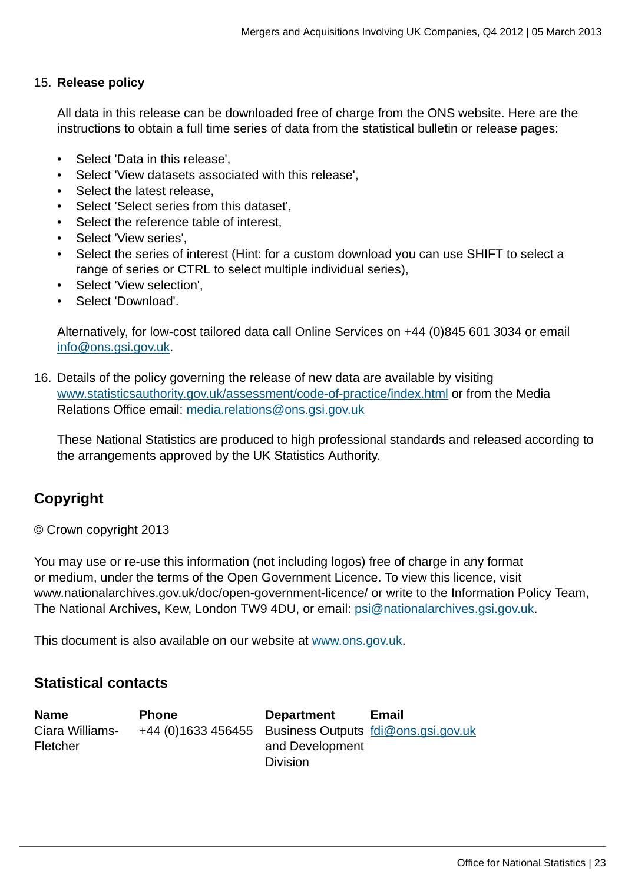#### 15. **Release policy**

All data in this release can be downloaded free of charge from the ONS website. Here are the instructions to obtain a full time series of data from the statistical bulletin or release pages:

- Select 'Data in this release',
- Select 'View datasets associated with this release',
- Select the latest release,
- Select 'Select series from this dataset',
- Select the reference table of interest,
- Select 'View series',
- Select the series of interest (Hint: for a custom download you can use SHIFT to select a range of series or CTRL to select multiple individual series),
- Select 'View selection',
- Select 'Download'.

Alternatively, for low-cost tailored data call Online Services on +44 (0)845 601 3034 or email [info@ons.gsi.gov.uk.](mailto:info@ons.gsi.gov.uk)

16. Details of the policy governing the release of new data are available by visiting [www.statisticsauthority.gov.uk/assessment/code-of-practice/index.html](http://www.statisticsauthority.gov.uk/assessment/code-of-practice/index.html) or from the Media Relations Office email: [media.relations@ons.gsi.gov.uk](mailto:media.relations@ons.gsi.gov.uk)

These National Statistics are produced to high professional standards and released according to the arrangements approved by the UK Statistics Authority.

# **Copyright**

© Crown copyright 2013

You may use or re-use this information (not including logos) free of charge in any format or medium, under the terms of the Open Government Licence. To view this licence, visit www.nationalarchives.gov.uk/doc/open-government-licence/ or write to the Information Policy Team, The National Archives, Kew, London TW9 4DU, or email: [psi@nationalarchives.gsi.gov.uk](mailto:psi@nationalarchives.gsi.gov.uk).

This document is also available on our website at [www.ons.gov.uk.](http://www.ons.gov.uk/)

### **Statistical contacts**

| <b>Name</b>     | <b>Phone</b>                                            | <b>Department</b> | <b>Email</b> |
|-----------------|---------------------------------------------------------|-------------------|--------------|
| Ciara Williams- | +44 (0)1633 456455 Business Outputs foli@ons.gsi.gov.uk |                   |              |
| <b>Fletcher</b> |                                                         | and Development   |              |
|                 |                                                         | <b>Division</b>   |              |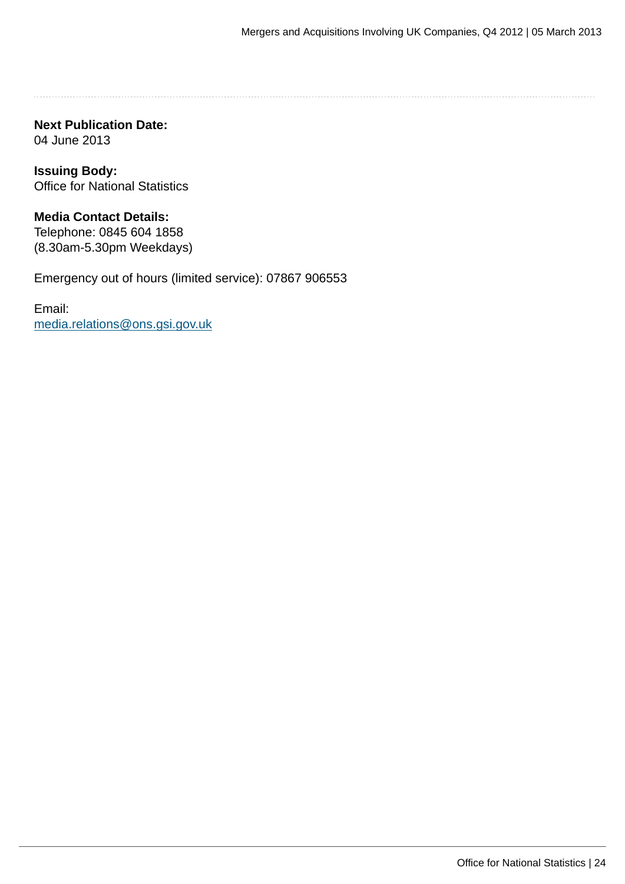**Next Publication Date:** 04 June 2013

**Issuing Body:** Office for National Statistics

**Media Contact Details:** Telephone: 0845 604 1858 (8.30am-5.30pm Weekdays)

Emergency out of hours (limited service): 07867 906553

Email: [media.relations@ons.gsi.gov.uk](mailto:media.relations@ons.gsi.gov.uk)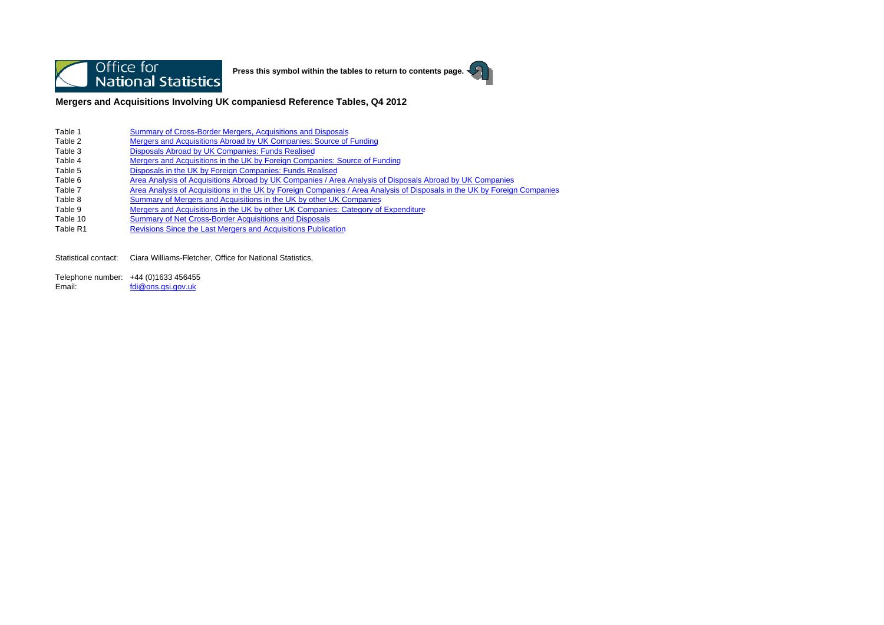

**Press this symbol within the tables to return to contents page.**



**Mergers and Acquisitions Involving UK companiesd Reference Tables, Q4 2012**

- Table 1Summary of Cross-Border Mergers, Acquisitions and Disposals
- Table 2Mergers and Acquisitions Abroad by UK Companies: Source of Funding
- Table 3Disposals Abroad by UK Companies: Funds Realised
- Table 4Mergers and Acquisitions in the UK by Foreign Companies: Source of Funding
- Table 5Disposals in the UK by Foreign Companies: Funds Realised
- Table 6Area Analysis of Acquisitions Abroad by UK Companies / Area Analysis of Disposals Abroad by UK Companies
- Table 7Area Analysis of Acquisitions in the UK by Foreign Companies / Area Analysis of Disposals in the UK by Foreign Companies
- Table 8Summary of Mergers and Acquisitions in the UK by other UK Companies
- Table 9Mergers and Acquisitions in the UK by other UK Companies: Category of Expenditure
- Table 10Summary of Net Cross-Border Acquisitions and Disposals
- Table R1Revisions Since the Last Mergers and Acquisitions Publication

Statistical contact: Ciara Williams-Fletcher, Office for National Statistics,

Telephone number: +44 (0)1633 456455 Email:fdi@ons.gsi.gov.uk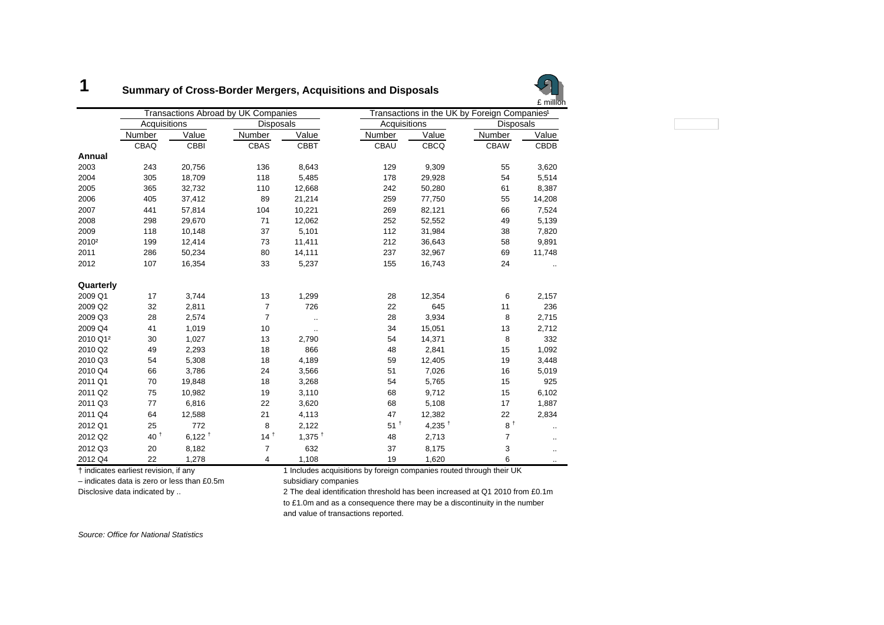#### **1Summary of Cross-Border Mergers, Acquisitions and Disposals**



|                      |              |                      | <b>Transactions Abroad by UK Companies</b> |             |                   |             | Transactions in the UK by Foreign Companies <sup>1</sup> |        |
|----------------------|--------------|----------------------|--------------------------------------------|-------------|-------------------|-------------|----------------------------------------------------------|--------|
|                      | Acquisitions |                      | <b>Disposals</b>                           |             | Acquisitions      |             | Disposals                                                |        |
|                      | Number       | Value                | Number                                     | Value       | Number            | Value       | Number                                                   | Value  |
|                      | CBAQ         | CBBI                 | CBAS                                       | <b>CBBT</b> | CBAU              | <b>CBCQ</b> | <b>CBAW</b>                                              | CBDB   |
| Annual               |              |                      |                                            |             |                   |             |                                                          |        |
| 2003                 | 243          | 20,756               | 136                                        | 8,643       | 129               | 9,309       | 55                                                       | 3,620  |
| 2004                 | 305          | 18,709               | 118                                        | 5,485       | 178               | 29,928      | 54                                                       | 5,514  |
| 2005                 | 365          | 32,732               | 110                                        | 12,668      | 242               | 50,280      | 61                                                       | 8,387  |
| 2006                 | 405          | 37,412               | 89                                         | 21,214      | 259               | 77,750      | 55                                                       | 14,208 |
| 2007                 | 441          | 57,814               | 104                                        | 10,221      | 269               | 82,121      | 66                                                       | 7,524  |
| 2008                 | 298          | 29,670               | 71                                         | 12,062      | 252               | 52,552      | 49                                                       | 5,139  |
| 2009                 | 118          | 10,148               | 37                                         | 5,101       | 112               | 31,984      | 38                                                       | 7,820  |
| 2010 <sup>2</sup>    | 199          | 12,414               | 73                                         | 11,411      | 212               | 36,643      | 58                                                       | 9,891  |
| 2011                 | 286          | 50,234               | 80                                         | 14,111      | 237               | 32,967      | 69                                                       | 11,748 |
| 2012                 | 107          | 16,354               | 33                                         | 5,237       | 155               | 16,743      | 24                                                       |        |
| Quarterly            |              |                      |                                            |             |                   |             |                                                          |        |
| 2009 Q1              | 17           | 3,744                | 13                                         | 1,299       | 28                | 12,354      | 6                                                        | 2,157  |
| 2009 Q2              | 32           | 2,811                | $\overline{7}$                             | 726         | 22                | 645         | 11                                                       | 236    |
| 2009 Q3              | 28           | 2,574                | $\overline{7}$                             |             | 28                | 3,934       | 8                                                        | 2,715  |
| 2009 Q4              | 41           | 1,019                | 10                                         | $\cdot$ .   | 34                | 15,051      | 13                                                       | 2,712  |
| 2010 Q1 <sup>2</sup> | 30           | 1,027                | 13                                         | 2,790       | 54                | 14,371      | 8                                                        | 332    |
| 2010 Q2              | 49           | 2,293                | 18                                         | 866         | 48                | 2,841       | 15                                                       | 1,092  |
| 2010 Q3              | 54           | 5,308                | 18                                         | 4,189       | 59                | 12,405      | 19                                                       | 3,448  |
| 2010 Q4              | 66           | 3,786                | 24                                         | 3,566       | 51                | 7,026       | 16                                                       | 5,019  |
| 2011 Q1              | 70           | 19,848               | 18                                         | 3,268       | 54                | 5,765       | 15                                                       | 925    |
| 2011 Q2              | 75           | 10,982               | 19                                         | 3,110       | 68                | 9,712       | 15                                                       | 6,102  |
| 2011 Q3              | 77           | 6,816                | 22                                         | 3,620       | 68                | 5,108       | 17                                                       | 1,887  |
| 2011 Q4              | 64           | 12,588               | 21                                         | 4,113       | 47                | 12,382      | 22                                                       | 2,834  |
| 2012 Q1              | 25           | 772                  | 8                                          | 2,122       | $51^{\mathrm{t}}$ | 4,235 $†$   | $8^{\dagger}$                                            |        |
| 2012 Q2              | $40^+$       | $6,122$ <sup>+</sup> | $14^{\frac{1}{2}}$                         | 1,375 $†$   | 48                | 2,713       | $\overline{7}$                                           |        |
| 2012 Q3              | 20           | 8,182                | $\overline{7}$                             | 632         | 37                | 8,175       | 3                                                        |        |
| 2012 Q4              | 22           | 1,278                | 4                                          | 1,108       | 19                | 1,620       | 6                                                        |        |

– indicates data is zero or less than £0.5m subsidiary companies

† indicates earliest revision, if any 1 Includes acquisitions by foreign companies routed through their UK

Disclosive data indicated by .. 2 The deal identification threshold has been increased at Q1 2010 from £0.1m to £1.0m and as a consequence there may be a discontinuity in the number and value of transactions reported.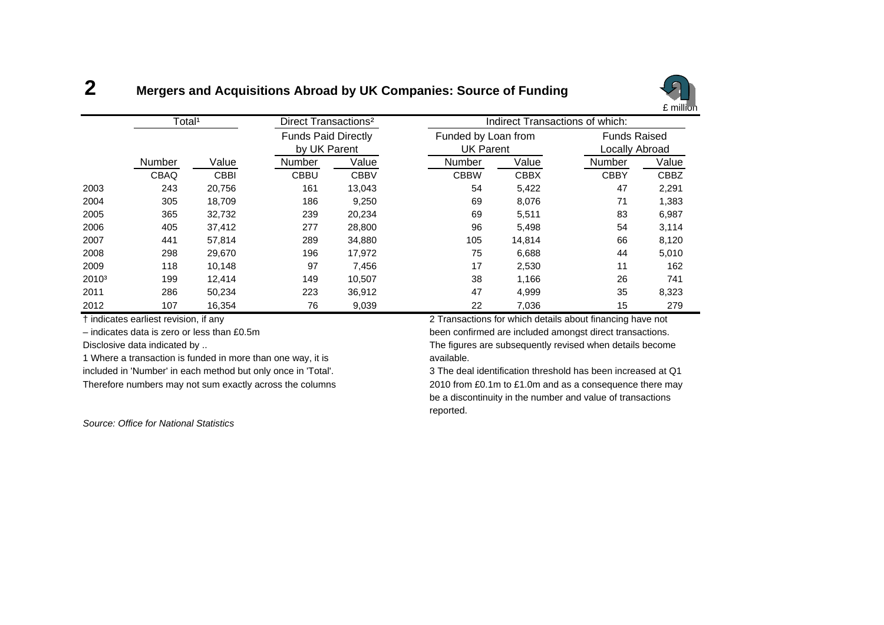#### **2Mergers and Acquisitions Abroad by UK Companies: Source of Funding**



|                   | Total <sup>1</sup> |             | Direct Transactions <sup>2</sup> |              |                     | Indirect Transactions of which: |                     |       |  |  |
|-------------------|--------------------|-------------|----------------------------------|--------------|---------------------|---------------------------------|---------------------|-------|--|--|
|                   |                    |             | <b>Funds Paid Directly</b>       |              | Funded by Loan from |                                 | <b>Funds Raised</b> |       |  |  |
|                   |                    |             |                                  | by UK Parent |                     | <b>UK Parent</b>                | Locally Abroad      |       |  |  |
|                   | Number             | Value       | Number                           | Value        | Number              | Value                           | Number              | Value |  |  |
|                   | <b>CBAQ</b>        | <b>CBBI</b> | <b>CBBU</b>                      | <b>CBBV</b>  | <b>CBBW</b>         | <b>CBBX</b>                     | <b>CBBY</b>         | CBBZ  |  |  |
| 2003              | 243                | 20,756      | 161                              | 13,043       | 54                  | 5,422                           | 47                  | 2,291 |  |  |
| 2004              | 305                | 18,709      | 186                              | 9,250        | 69                  | 8,076                           | 71                  | 1,383 |  |  |
| 2005              | 365                | 32,732      | 239                              | 20,234       | 69                  | 5,511                           | 83                  | 6,987 |  |  |
| 2006              | 405                | 37,412      | 277                              | 28,800       | 96                  | 5,498                           | 54                  | 3,114 |  |  |
| 2007              | 441                | 57,814      | 289                              | 34,880       | 105                 | 14,814                          | 66                  | 8,120 |  |  |
| 2008              | 298                | 29,670      | 196                              | 17,972       | 75                  | 6,688                           | 44                  | 5,010 |  |  |
| 2009              | 118                | 10,148      | 97                               | 7,456        | 17                  | 2,530                           | 11                  | 162   |  |  |
| 2010 <sup>3</sup> | 199                | 12,414      | 149                              | 10,507       | 38                  | 1,166                           | 26                  | 741   |  |  |
| 2011              | 286                | 50,234      | 223                              | 36,912       | 47                  | 4,999                           | 35                  | 8,323 |  |  |
| 2012              | 107                | 16,354      | 76                               | 9,039        | 22                  | 7,036                           | 15                  | 279   |  |  |

1 Where a transaction is funded in more than one way, it is **contained a vailable**. included in 'Number' in each method but only once in 'Total'. 3 The deal identification threshold has been increased at Q1

*Source: Office for National Statistics*

† indicates earliest revision, if any 2 Transactions for which details about financing have not – indicates data is zero or less than £0.5m been confirmed are included amongst direct transactions. Disclosive data indicated by .. The figures are subsequently revised when details become

Therefore numbers may not sum exactly across the columns 2010 from £0.1m to £1.0m and as a consequence there may be a discontinuity in the number and value of transactions reported.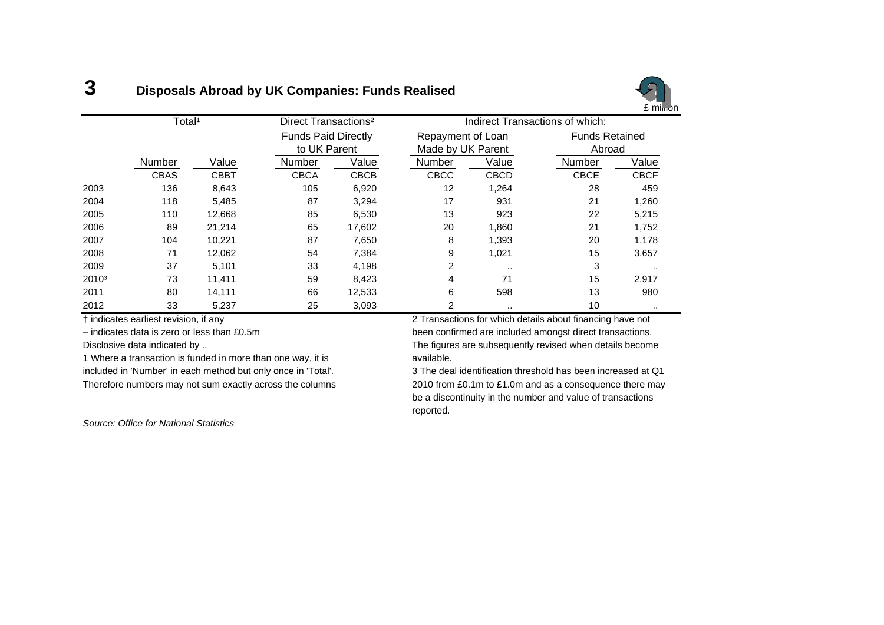#### **3Disposals Abroad by UK Companies: Funds Realised**



|                   | Total <sup>1</sup> |             | Direct Transactions <sup>2</sup> |              |                   |                   | Indirect Transactions of which: |             |
|-------------------|--------------------|-------------|----------------------------------|--------------|-------------------|-------------------|---------------------------------|-------------|
|                   |                    |             | <b>Funds Paid Directly</b>       |              | Repayment of Loan |                   | <b>Funds Retained</b>           |             |
|                   |                    |             |                                  | to UK Parent |                   | Made by UK Parent |                                 | Abroad      |
|                   | Number             | Value       | Number                           | Value        | Number            | Value             | Number                          | Value       |
|                   | <b>CBAS</b>        | <b>CBBT</b> | <b>CBCA</b>                      | <b>CBCB</b>  | <b>CBCC</b>       | <b>CBCD</b>       | <b>CBCE</b>                     | <b>CBCF</b> |
| 2003              | 136                | 8,643       | 105                              | 6,920        | 12                | 1,264             | 28                              | 459         |
| 2004              | 118                | 5,485       | 87                               | 3,294        | 17                | 931               | 21                              | 1,260       |
| 2005              | 110                | 12.668      | 85                               | 6,530        | 13                | 923               | 22                              | 5,215       |
| 2006              | 89                 | 21,214      | 65                               | 17,602       | 20                | 1,860             | 21                              | 1,752       |
| 2007              | 104                | 10.221      | 87                               | 7,650        | 8                 | 1,393             | 20                              | 1,178       |
| 2008              | 71                 | 12,062      | 54                               | 7,384        | 9                 | 1,021             | 15                              | 3,657       |
| 2009              | 37                 | 5,101       | 33                               | 4,198        | 2                 |                   | 3                               |             |
| 2010 <sup>3</sup> | 73                 | 11,411      | 59                               | 8,423        | 4                 | 71                | 15                              | 2,917       |
| 2011              | 80                 | 14,111      | 66                               | 12,533       | 6                 | 598               | 13                              | 980         |
| 2012              | 33                 | 5,237       | 25                               | 3,093        | 2                 | . .               | 10                              | $\cdots$    |

1 Where a transaction is funded in more than one way, it is **axillable**. included in 'Number' in each method but only once in 'Total'. 3 The deal identification threshold has been increased at Q1

*Source: Office for National Statistics*

† indicates earliest revision, if any 2 Transactions for which details about financing have not – indicates data is zero or less than £0.5m been confirmed are included amongst direct transactions. Disclosive data indicated by .. The figures are subsequently revised when details become

Therefore numbers may not sum exactly across the columns 2010 from £0.1m to £1.0m and as a consequence there may be a discontinuity in the number and value of transactions reported.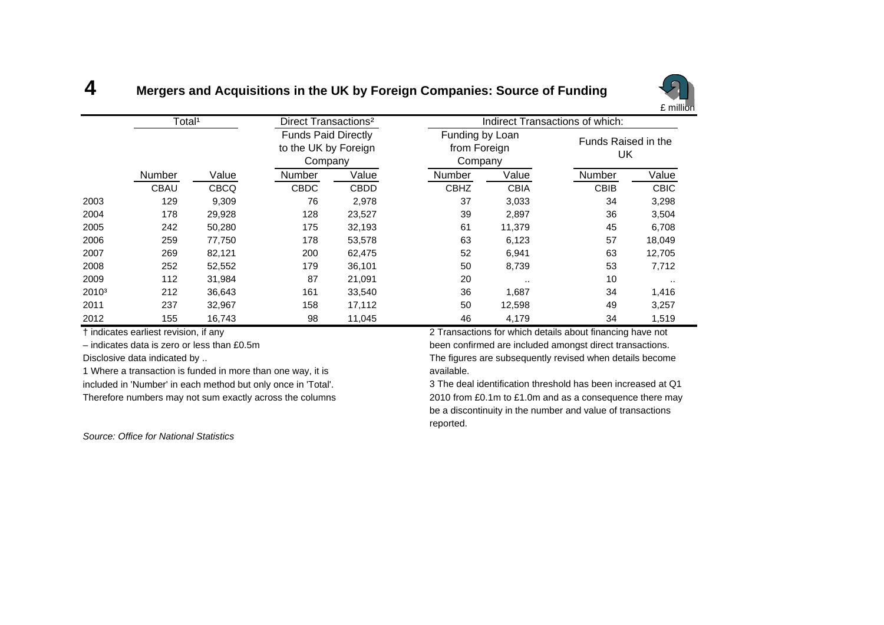#### **4Mergers and Acquisitions in the UK by Foreign Companies: Source of Funding**



|                   | Total <sup>1</sup> |             | Direct Transactions <sup>2</sup>                              |             |                                            |             | Indirect Transactions of which: |             |
|-------------------|--------------------|-------------|---------------------------------------------------------------|-------------|--------------------------------------------|-------------|---------------------------------|-------------|
|                   |                    |             | <b>Funds Paid Directly</b><br>to the UK by Foreign<br>Company |             | Funding by Loan<br>from Foreign<br>Company |             | Funds Raised in the<br>UK       |             |
|                   | <b>Number</b>      | Value       | <b>Number</b>                                                 | Value       | <b>Number</b>                              | Value       | <b>Number</b>                   | Value       |
|                   | CBAU               | <b>CBCQ</b> | <b>CBDC</b>                                                   | <b>CBDD</b> | <b>CBHZ</b>                                | <b>CBIA</b> | <b>CBIB</b>                     | <b>CBIC</b> |
| 2003              | 129                | 9,309       | 76                                                            | 2,978       | 37                                         | 3,033       | 34                              | 3,298       |
| 2004              | 178                | 29,928      | 128                                                           | 23,527      | 39                                         | 2,897       | 36                              | 3,504       |
| 2005              | 242                | 50,280      | 175                                                           | 32,193      | 61                                         | 11,379      | 45                              | 6,708       |
| 2006              | 259                | 77,750      | 178                                                           | 53,578      | 63                                         | 6,123       | 57                              | 18,049      |
| 2007              | 269                | 82,121      | 200                                                           | 62,475      | 52                                         | 6,941       | 63                              | 12,705      |
| 2008              | 252                | 52,552      | 179                                                           | 36,101      | 50                                         | 8,739       | 53                              | 7,712       |
| 2009              | 112                | 31,984      | 87                                                            | 21,091      | 20                                         |             | 10                              |             |
| 2010 <sup>3</sup> | 212                | 36,643      | 161                                                           | 33,540      | 36                                         | 1,687       | 34                              | 1,416       |
| 2011              | 237                | 32,967      | 158                                                           | 17,112      | 50                                         | 12,598      | 49                              | 3,257       |
| 2012              | 155                | 16,743      | 98                                                            | 11,045      | 46                                         | 4,179       | 34                              | 1,519       |

Disclosive data indicated by ..

1 Where a transaction is funded in more than one way, it is **available**. included in 'Number' in each method but only once in 'Total'. 3 The deal identification threshold has been increased at Q1

† indicates earliest revision, if any 2 Transactions for which details about financing have not – indicates data is zero or less than £0.5m been confirmed are included amongst direct transactions. The figures are subsequently revised when details become

Therefore numbers may not sum exactly across the columns 2010 from £0.1m to £1.0m and as a consequence there may be a discontinuity in the number and value of transactions reported.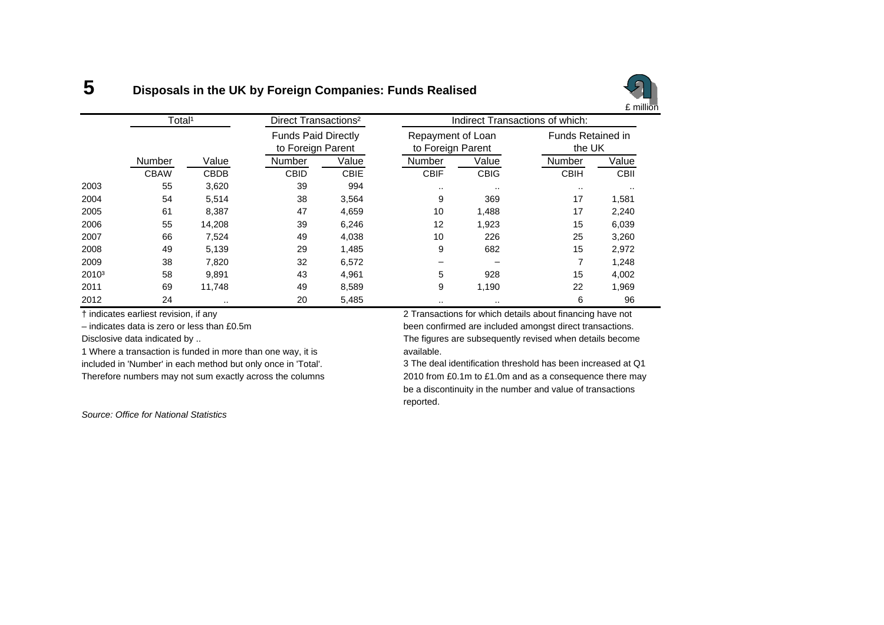#### **5Disposals in the UK by Foreign Companies: Funds Realised**



|                   | Total <sup>1</sup> |             | Direct Transactions <sup>2</sup>                |             |                                        | Indirect Transactions of which: |                                    |             |  |  |
|-------------------|--------------------|-------------|-------------------------------------------------|-------------|----------------------------------------|---------------------------------|------------------------------------|-------------|--|--|
|                   |                    |             | <b>Funds Paid Directly</b><br>to Foreign Parent |             | Repayment of Loan<br>to Foreign Parent |                                 | <b>Funds Retained in</b><br>the UK |             |  |  |
|                   | Number             | Value       | Number                                          | Value       | <b>Number</b>                          | Value                           | Number                             | Value       |  |  |
|                   | <b>CBAW</b>        | <b>CBDB</b> | <b>CBID</b>                                     | <b>CBIE</b> | <b>CBIF</b>                            | <b>CBIG</b>                     | <b>CBIH</b>                        | <b>CBII</b> |  |  |
| 2003              | 55                 | 3,620       | 39                                              | 994         |                                        | $\cdots$                        | $\cdots$                           | $\cdot$     |  |  |
| 2004              | 54                 | 5,514       | 38                                              | 3,564       | 9                                      | 369                             | 17                                 | 1,581       |  |  |
| 2005              | 61                 | 8.387       | 47                                              | 4,659       | 10                                     | 1,488                           | 17                                 | 2,240       |  |  |
| 2006              | 55                 | 14,208      | 39                                              | 6,246       | 12                                     | 1,923                           | 15                                 | 6,039       |  |  |
| 2007              | 66                 | 7,524       | 49                                              | 4,038       | 10                                     | 226                             | 25                                 | 3,260       |  |  |
| 2008              | 49                 | 5,139       | 29                                              | I,485       | 9                                      | 682                             | 15                                 | 2,972       |  |  |
| 2009              | 38                 | 7,820       | 32                                              | 6,572       |                                        |                                 |                                    | 1,248       |  |  |
| 2010 <sup>3</sup> | 58                 | 9.891       | 43                                              | 4,961       | 5                                      | 928                             | 15                                 | 4,002       |  |  |
| 2011              | 69                 | 11,748      | 49                                              | 8,589       | 9                                      | 1,190                           | 22                                 | 1,969       |  |  |
| 2012              | 24                 | $\sim$      | 20                                              | 5,485       |                                        | $\cdot$ .                       | 6                                  | 96          |  |  |

1 Where a transaction is funded in more than one way, it is **contains a vailable**.

included in 'Number' in each method but only once in 'Total'. 3 The deal identification threshold has been increased at Q1

† indicates earliest revision, if any 2 Transactions for which details about financing have not – indicates data is zero or less than £0.5m been confirmed are included amongst direct transactions. Disclosive data indicated by .. The figures are subsequently revised when details become

Therefore numbers may not sum exactly across the columns 2010 from £0.1m to £1.0m and as a consequence there may be a discontinuity in the number and value of transactions reported.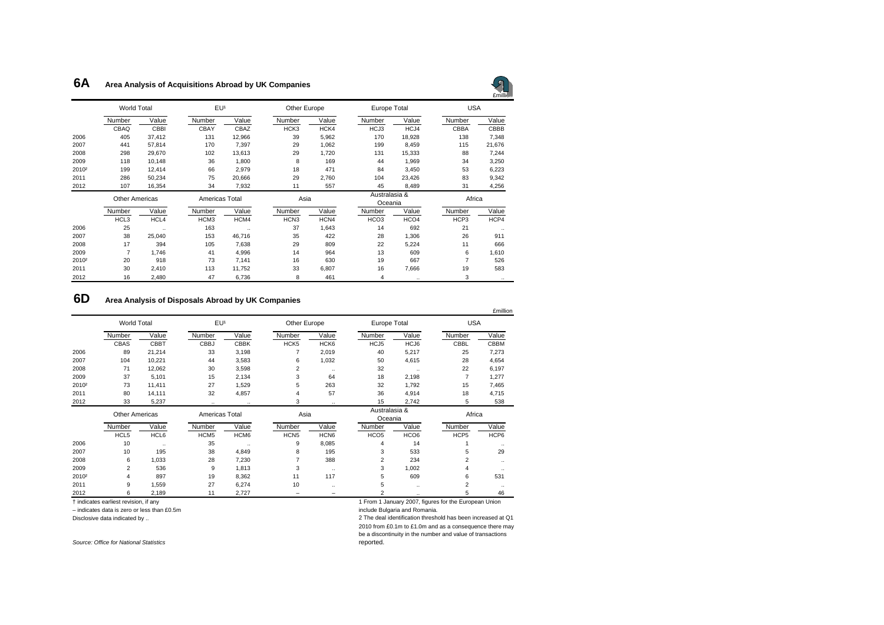#### **6AArea Analysis of Acquisitions Abroad by UK Companies**



|                   | <b>World Total</b>    |             | EU <sup>1</sup>  |           | Other Europe     |       | Europe Total             |                  | <b>USA</b>  |           |
|-------------------|-----------------------|-------------|------------------|-----------|------------------|-------|--------------------------|------------------|-------------|-----------|
|                   | Number                | Value       | Number           | Value     | Number           | Value | Number                   | Value            | Number      | Value     |
|                   | CBAQ                  | <b>CBBI</b> | CBAY             | CBAZ      | HCK3             | HCK4  | HCJ3                     | HCJ4             | <b>CBBA</b> | CBBB      |
| 2006              | 405                   | 37,412      | 131              | 12,966    | 39               | 5,962 | 170                      | 18,928           | 138         | 7,348     |
| 2007              | 441                   | 57,814      | 170              | 7,397     | 29               | 1,062 | 199                      | 8,459            | 115         | 21,676    |
| 2008              | 298                   | 29,670      | 102              | 13,613    | 29               | 1,720 | 131                      | 15,333           | 88          | 7,244     |
| 2009              | 118                   | 10,148      | 36               | 1,800     | 8                | 169   | 44                       | 1,969            | 34          | 3,250     |
| 2010 <sup>2</sup> | 199                   | 12,414      | 66               | 2,979     | 18               | 471   | 84                       | 3,450            | 53          | 6,223     |
| 2011              | 286                   | 50,234      | 75               | 20,666    | 29               | 2,760 | 104                      | 23,426           | 83          | 9,342     |
| 2012              | 107                   | 16,354      | 34               | 7,932     | 11               | 557   | 45                       | 8,489            | 31          | 4,256     |
|                   | <b>Other Americas</b> |             | Americas Total   |           | Asia             |       | Australasia &<br>Oceania |                  | Africa      |           |
|                   | Number                | Value       | Number           | Value     | Number           | Value | Number                   | Value            | Number      | Value     |
|                   | HCL3                  | HCL4        | HCM <sub>3</sub> | HCM4      | HCN <sub>3</sub> | HCN4  | HCO <sub>3</sub>         | HCO <sub>4</sub> | HCP3        | HCP4      |
| 2006              | 25                    | $\ldots$    | 163              | $\ddotsc$ | 37               | 1,643 | 14                       | 692              | 21          | $\ddotsc$ |
| 2007              | 38                    | 25,040      | 153              | 46,716    | 35               | 422   | 28                       | 1,306            | 26          | 911       |
| 2008              | 17                    | 394         | 105              | 7,638     | 29               | 809   | 22                       | 5,224            | 11          | 666       |
| 2009              | $\overline{7}$        | 1,746       | 41               | 4,996     | 14               | 964   | 13                       | 609              | 6           | 1,610     |
| 2010 <sup>2</sup> | 20                    | 918         | 73               | 7,141     | 16               | 630   | 19                       | 667              | 7           | 526       |
| 2011              | 30                    | 2,410       | 113              | 11,752    | 33               | 6,807 | 16                       | 7,666            | 19          | 583       |
| 2012              | 16                    | 2,480       | 47               | 6,736     | 8                | 461   | 4                        |                  | 3           | $\ddotsc$ |

#### **6DArea Analysis of Disposals Abroad by UK Companies**

|                   |                       |             |                  |             |                  |                  |                          |                  |                | £million  |
|-------------------|-----------------------|-------------|------------------|-------------|------------------|------------------|--------------------------|------------------|----------------|-----------|
|                   | <b>World Total</b>    |             | EU <sup>1</sup>  |             | Other Europe     |                  | Europe Total             |                  | <b>USA</b>     |           |
|                   | Number                | Value       | Number           | Value       | Number           | Value            | Number                   | Value            | Number         | Value     |
|                   | CBAS                  | <b>CBBT</b> | <b>CBBJ</b>      | <b>CBBK</b> | HCK <sub>5</sub> | HCK <sub>6</sub> | HCJ5                     | HCJ6             | CBBL           | CBBM      |
| 2006              | 89                    | 21,214      | 33               | 3,198       | 7                | 2,019            | 40                       | 5,217            | 25             | 7,273     |
| 2007              | 104                   | 10,221      | 44               | 3,583       | 6                | 1,032            | 50                       | 4,615            | 28             | 4,654     |
| 2008              | 71                    | 12,062      | 30               | 3,598       | 2                |                  | 32                       | $\ddotsc$        | 22             | 6,197     |
| 2009              | 37                    | 5,101       | 15               | 2,134       | 3                | 64               | 18                       | 2,198            | $\overline{7}$ | 1,277     |
| 2010 <sup>2</sup> | 73                    | 11,411      | 27               | 1,529       | 5                | 263              | 32                       | 1,792            | 15             | 7,465     |
| 2011              | 80                    | 14,111      | 32               | 4,857       | $\overline{4}$   | 57               | 36                       | 4,914            | 18             | 4,715     |
| 2012              | 33                    | 5,237       |                  | $\ddotsc$   | 3                | $\ddotsc$        | 15                       | 2,742            | 5              | 538       |
|                   | <b>Other Americas</b> |             | Americas Total   |             | Asia             |                  | Australasia &<br>Oceania |                  | Africa         |           |
|                   | Number                | Value       | Number           | Value       | Number           | Value            | Number                   | Value            | Number         | Value     |
|                   | HCL5                  | HCL6        | HCM <sub>5</sub> | HCM6        | HCN <sub>5</sub> | HCN <sub>6</sub> | HCO <sub>5</sub>         | HCO <sub>6</sub> | HCP5           | HCP6      |
| 2006              | 10                    | $\ldots$    | 35               | $\ddotsc$   | 9                | 8,085            | 4                        | 14               |                | $\ddotsc$ |
| 2007              | 10                    | 195         | 38               | 4,849       | 8                | 195              | 3                        | 533              | 5              | 29        |
| 2008              | 6                     | 1,033       | 28               | 7,230       | 7                | 388              | 2                        | 234              | 2              |           |
| 2009              | 2                     | 536         | 9                | 1,813       | 3                | $\ddotsc$        | 3                        | 1,002            | 4              | $\ddotsc$ |
| 2010 <sup>2</sup> |                       | 897         | 19               | 8,362       | 11               | 117              | 5                        | 609              | 6              | 531       |
| 2011              | 9                     | 1,559       | 27               | 6,274       | 10               | ٠.               | 5                        |                  | 2              | $\ddotsc$ |
| 2012              | 6                     | 2.189       | 11               | 2.727       |                  |                  | $\overline{c}$           |                  | 5              | 46        |

– indicates data is zero or less than £0.5m include Bulgaria and Romania.

† indicates earliest revision, if any 1 From 1 January 2007, figures for the European Union

Disclosive data indicated by .. 2 The deal identification threshold has been increased at Q1

2010 from £0.1m to £1.0m and as a consequence there may be a discontinuity in the number and value of transactions reported.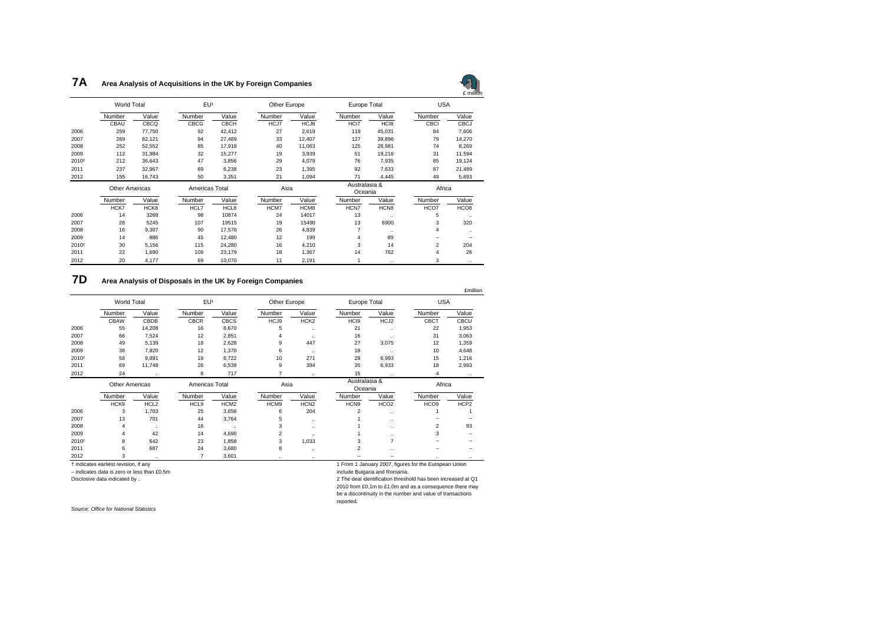#### **7A Area Analysis of Acquisitions in the UK by Foreign Companies**



|                   | <b>World Total</b>    |        | EU <sup>1</sup> |             |        | Other Europe |                          | Europe Total         |                          | $L$ HHIIIOH<br><b>USA</b> |  |
|-------------------|-----------------------|--------|-----------------|-------------|--------|--------------|--------------------------|----------------------|--------------------------|---------------------------|--|
|                   | Number                | Value  | Number          | Value       | Number | Value        | Number                   | Value                | Number                   | Value                     |  |
|                   | CBAU                  | CBCQ   | CBCG            | <b>CBCH</b> | HCJ7   | HCJ8         | HCI7                     | HC <sub>18</sub>     | CBCI                     | <b>CBCJ</b>               |  |
| 2006              | 259                   | 77,750 | 92              | 42,412      | 27     | 2,619        | 119                      | 45,031               | 84                       | 7,606                     |  |
| 2007              | 269                   | 82,121 | 94              | 27,489      | 33     | 12,407       | 127                      | 39,896               | 79                       | 14,270                    |  |
| 2008              | 252                   | 52,552 | 85              | 17,918      | 40     | 11,063       | 125                      | 28,981               | 74                       | 8,269                     |  |
| 2009              | 112                   | 31,984 | 32              | 15,277      | 19     | 3,939        | 51                       | 19,216               | 31                       | 11,594                    |  |
| 2010 <sup>2</sup> | 212                   | 36,643 | 47              | 3,856       | 29     | 4,079        | 76                       | 7,935                | 85                       | 19,124                    |  |
| 2011              | 237                   | 32,967 | 69              | 6,238       | 23     | 1,395        | 92                       | 7,633                | 87                       | 21,489                    |  |
| 2012              | 155                   | 16,743 | 50              | 3,351       | 21     | 1,094        | 71                       | 4,445                | 49                       | 5,893                     |  |
|                   | <b>Other Americas</b> |        | Americas Total  |             | Asia   |              | Australasia &<br>Oceania |                      | Africa                   |                           |  |
|                   | Number                | Value  | Number          | Value       | Number | Value        | Number                   | Value                | Number                   | Value                     |  |
|                   | HCK7                  | HCK8   | HCL7            | HCL8        | HCM7   | HCM8         | HCN7                     | HCN <sub>8</sub>     | HCO7                     | HCO <sub>8</sub>          |  |
| 2006              | 14                    | 3268   | 98              | 10874       | 24     | 14017        | 13                       | $\ddot{\phantom{a}}$ | 5                        | $\ldots$                  |  |
| 2007              | 28                    | 5245   | 107             | 19515       | 19     | 15490        | 13                       | 6900                 | 3                        | 320                       |  |
| 2008              | 16                    | 9,307  | 90              | 17,576      | 26     | 4,839        | $\overline{7}$           | $\ddotsc$            | 4                        | $\ldots$                  |  |
| 2009              | 14                    | 886    | 45              | 12,480      | 12     | 199          | 4                        | 89                   | $\overline{\phantom{m}}$ |                           |  |
| 2010 <sup>2</sup> | 30                    | 5,156  | 115             | 24,280      | 16     | 4,210        | 3                        | 14                   | $\overline{2}$           | 204                       |  |
| 2011              | 22                    | 1,690  | 109             | 23,179      | 18     | 1,367        | 14                       | 762                  | 4                        | 26                        |  |
| 2012              | 20                    | 4,177  | 69              | 10,070      | 11     | 2,191        |                          | $\ddotsc$            | 3                        | $\ddotsc$                 |  |

#### **7DArea Analysis of Disposals in the UK by Foreign Companies**

|                   | World Total           |                  | EU <sup>1</sup> |                  |                | Other Europe         |                          | Europe Total         |                  | <b>USA</b>  |  |
|-------------------|-----------------------|------------------|-----------------|------------------|----------------|----------------------|--------------------------|----------------------|------------------|-------------|--|
|                   | Number                | Value            | Number          | Value            | Number         | Value                | Number                   | Value                | Number           | Value       |  |
|                   | CBAW                  | CBDB             | <b>CBCR</b>     | <b>CBCS</b>      | HCJ9           | HCK <sub>2</sub>     | HCI9                     | HCJ2                 | CBCT             | <b>CBCU</b> |  |
| 2006              | 55                    | 14,208           | 16              | 8,670            | 5              | $\ldots$             | 21                       | $\ldots$             | 22               | 1,953       |  |
| 2007              | 66                    | 7,524            | 12              | 2,851            |                | $\ddotsc$            | 16                       | $\ddotsc$            | 31               | 3,063       |  |
| 2008              | 49                    | 5,139            | 18              | 2,628            | 9              | 447                  | 27                       | 3,075                | 12               | 1,359       |  |
| 2009              | 38                    | 7,820            | 12              | 1,370            | 6              | $\cdot$              | 18                       | $\ddotsc$            | 10               | 4,648       |  |
| 2010 <sup>2</sup> | 58                    | 9,891            | 19              | 6,722            | 10             | 271                  | 29                       | 6,993                | 15               | 1,216       |  |
| 2011              | 69                    | 11,748           | 26              | 6,539            | 9              | 394                  | 35                       | 6,933                | 18               | 2,993       |  |
| 2012              | 24                    | $\ddotsc$        | 8               | 717              | 7              | $\ldots$             | 15                       | $\ldots$             | 4                | $\ldots$    |  |
|                   | <b>Other Americas</b> |                  | Americas Total  |                  | Asia           |                      | Australasia &<br>Oceania |                      | Africa           |             |  |
|                   | Number                | Value            | Number          | Value            | Number         | Value                | Number                   | Value                | Number           | Value       |  |
|                   | HCK9                  | HCL <sub>2</sub> | HCL9            | HCM <sub>2</sub> | HCM9           | HCN <sub>2</sub>     | HCN9                     | HCO <sub>2</sub>     | HCO <sub>9</sub> | HCP2        |  |
| 2006              | 3                     | 1,703            | 25              | 3,656            | 6              | 204                  | $\overline{2}$           | $\ldots$             |                  |             |  |
| 2007              | 13                    | 701              | 44              | 3,764            | 5              | $\ldots$             |                          | $\ldots$             |                  |             |  |
| 2008              | 4                     | $\ldots$         | 16              | $\ddotsc$        | 3              | $\ldots$             |                          | $\ldots$             | $\overline{2}$   | 93          |  |
| 2009              | 4                     | 42               | 14              | 4,690            | $\overline{2}$ | $\ddot{\phantom{a}}$ |                          | $\ddot{\phantom{a}}$ | 3                |             |  |
| 2010 <sup>2</sup> | 8                     | 642              | 23              | 1,858            | 3              | 1,033                | 3                        | $\overline{7}$       |                  |             |  |
| 2011              | 6                     | 687              | 24              | 3,680            | 8              | $\ldots$             | 2                        | $\ddot{\phantom{a}}$ |                  |             |  |
|                   |                       |                  |                 |                  |                |                      |                          |                      |                  |             |  |

 $-$  indicates data is zero or less than £0.5m

1 From 1 January 2007, figures for the European Union<br>include Bulgaria and Romania.

Disclosive data indicated by .. 2 The deal identification threshold has been increased at Q1 2010 from £0.1m to £1.0m and as a consequence there may

reported.

be a discontinuity in the number and value of transactions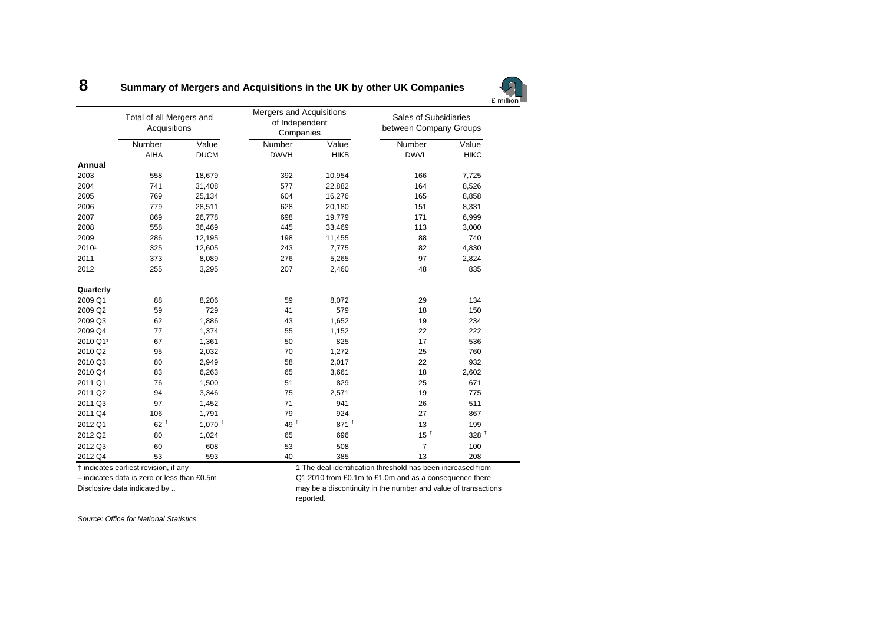#### **8Summary of Mergers and Acquisitions in the UK by other UK Companies**

|           | Total of all Mergers and<br>Acquisitions |                      | Mergers and Acquisitions<br>of Independent<br>Companies |                    | <b>Sales of Subsidiaries</b><br>between Company Groups |                  |  |
|-----------|------------------------------------------|----------------------|---------------------------------------------------------|--------------------|--------------------------------------------------------|------------------|--|
|           | Number                                   | Value                | Number                                                  | Value              | Number                                                 | Value            |  |
|           | <b>AIHA</b>                              | <b>DUCM</b>          | <b>DWVH</b>                                             | <b>HIKB</b>        | <b>DWVL</b>                                            | <b>HIKC</b>      |  |
| Annual    |                                          |                      |                                                         |                    |                                                        |                  |  |
| 2003      | 558                                      | 18,679               | 392                                                     | 10,954             | 166                                                    | 7,725            |  |
| 2004      | 741                                      | 31,408               | 577                                                     | 22,882             | 164                                                    | 8,526            |  |
| 2005      | 769                                      | 25,134               | 604                                                     | 16,276             | 165                                                    | 8,858            |  |
| 2006      | 779                                      | 28,511               | 628                                                     | 20,180             | 151                                                    | 8,331            |  |
| 2007      | 869                                      | 26,778               | 698                                                     | 19,779             | 171                                                    | 6,999            |  |
| 2008      | 558                                      | 36,469               | 445                                                     | 33,469             | 113                                                    | 3,000            |  |
| 2009      | 286                                      | 12,195               | 198                                                     | 11,455             | 88                                                     | 740              |  |
| 20101     | 325                                      | 12,605               | 243                                                     | 7,775              | 82                                                     | 4,830            |  |
| 2011      | 373                                      | 8,089                | 276                                                     | 5,265              | 97                                                     | 2,824            |  |
| 2012      | 255                                      | 3,295                | 207                                                     | 2,460              | 48                                                     | 835              |  |
| Quarterly |                                          |                      |                                                         |                    |                                                        |                  |  |
| 2009 Q1   | 88                                       | 8,206                | 59                                                      | 8,072              | 29                                                     | 134              |  |
| 2009 Q2   | 59                                       | 729                  | 41                                                      | 579                | 18                                                     | 150              |  |
| 2009 Q3   | 62                                       | 1,886                | 43                                                      | 1,652              | 19                                                     | 234              |  |
| 2009 Q4   | 77                                       | 1,374                | 55                                                      | 1,152              | 22                                                     | 222              |  |
| 2010 Q11  | 67                                       | 1,361                | 50                                                      | 825                | 17                                                     | 536              |  |
| 2010 Q2   | 95                                       | 2,032                | 70                                                      | 1,272              | 25                                                     | 760              |  |
| 2010 Q3   | 80                                       | 2,949                | 58                                                      | 2,017              | 22                                                     | 932              |  |
| 2010 Q4   | 83                                       | 6,263                | 65                                                      | 3,661              | 18                                                     | 2,602            |  |
| 2011 Q1   | 76                                       | 1,500                | 51                                                      | 829                | 25                                                     | 671              |  |
| 2011 Q2   | 94                                       | 3,346                | 75                                                      | 2,571              | 19                                                     | 775              |  |
| 2011 Q3   | 97                                       | 1,452                | 71                                                      | 941                | 26                                                     | 511              |  |
| 2011 Q4   | 106                                      | 1.791                | 79                                                      | 924                | 27                                                     | 867              |  |
| 2012 Q1   | $62^{\mathrm{t}}$                        | $1,070$ <sup>+</sup> | 49 <sup>†</sup>                                         | $871$ <sup>+</sup> | 13                                                     | 199              |  |
| 2012 Q2   | 80                                       | 1,024                | 65                                                      | 696                | 15 <sup>†</sup>                                        | 328 <sup>†</sup> |  |
| 2012 Q3   | 60                                       | 608                  | 53                                                      | 508                | $\overline{7}$                                         | 100              |  |
| 2012 Q4   | 53                                       | 593                  | 40                                                      | 385                | 13                                                     | 208              |  |

† indicates earliest revision, if any 1 The deal identification threshold has been increased from

– indicates data is zero or less than £0.5m Q1 2010 from £0.1m to £1.0m and as a consequence there

Disclosive data indicated by .. https://www.may be a discontinuity in the number and value of transactions reported.

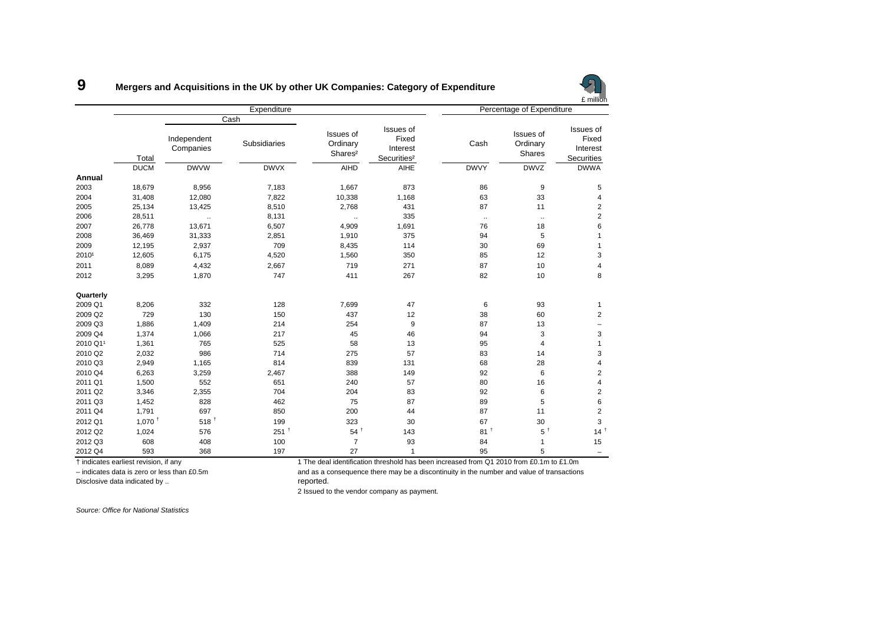|           |                      |                          |                             |                                              | £ million                                                 |                           |                                 |                                                     |  |
|-----------|----------------------|--------------------------|-----------------------------|----------------------------------------------|-----------------------------------------------------------|---------------------------|---------------------------------|-----------------------------------------------------|--|
|           |                      |                          | Expenditure                 |                                              |                                                           | Percentage of Expenditure |                                 |                                                     |  |
|           | Total                | Independent<br>Companies | Cash<br><b>Subsidiaries</b> | Issues of<br>Ordinary<br>Shares <sup>2</sup> | Issues of<br>Fixed<br>Interest<br>Securities <sup>2</sup> | Cash                      | Issues of<br>Ordinary<br>Shares | Issues of<br>Fixed<br>Interest<br><b>Securities</b> |  |
|           | <b>DUCM</b>          | <b>DWVW</b>              | <b>DWVX</b>                 | <b>AIHD</b>                                  | AIHE                                                      | <b>DWVY</b>               | <b>DWVZ</b>                     | <b>DWWA</b>                                         |  |
| Annual    |                      |                          |                             |                                              |                                                           |                           |                                 |                                                     |  |
| 2003      | 18,679               | 8,956                    | 7,183                       | 1,667                                        | 873                                                       | 86                        | 9                               | 5                                                   |  |
| 2004      | 31,408               | 12,080                   | 7,822                       | 10,338                                       | 1,168                                                     | 63                        | 33                              | 4                                                   |  |
| 2005      | 25,134               | 13,425                   | 8,510                       | 2,768                                        | 431                                                       | 87                        | 11                              | $\mathbf 2$                                         |  |
| 2006      | 28,511               | $\ddot{\phantom{a}}$     | 8,131                       | $\ddotsc$                                    | 335                                                       | $\ldots$                  | $\cdot$                         | $\overline{c}$                                      |  |
| 2007      | 26,778               | 13,671                   | 6,507                       | 4,909                                        | 1,691                                                     | 76                        | 18                              | 6                                                   |  |
| 2008      | 36,469               | 31,333                   | 2,851                       | 1,910                                        | 375                                                       | 94                        | 5                               | $\mathbf{1}$                                        |  |
| 2009      | 12,195               | 2,937                    | 709                         | 8,435                                        | 114                                                       | 30                        | 69                              | $\mathbf{1}$                                        |  |
| 20101     | 12,605               | 6,175                    | 4,520                       | 1,560                                        | 350                                                       | 85                        | 12                              | 3                                                   |  |
| 2011      | 8,089                | 4,432                    | 2,667                       | 719                                          | 271                                                       | 87                        | 10                              | 4                                                   |  |
| 2012      | 3,295                | 1,870                    | 747                         | 411                                          | 267                                                       | 82                        | 10                              | 8                                                   |  |
| Quarterly |                      |                          |                             |                                              |                                                           |                           |                                 |                                                     |  |
| 2009 Q1   | 8,206                | 332                      | 128                         | 7,699                                        | 47                                                        | 6                         | 93                              | $\mathbf{1}$                                        |  |
| 2009 Q2   | 729                  | 130                      | 150                         | 437                                          | 12                                                        | 38                        | 60                              | $\overline{c}$                                      |  |
| 2009 Q3   | 1,886                | 1,409                    | 214                         | 254                                          | 9                                                         | 87                        | 13                              | $\overline{\phantom{0}}$                            |  |
| 2009 Q4   | 1,374                | 1,066                    | 217                         | 45                                           | 46                                                        | 94                        | 3                               | 3                                                   |  |
| 2010 Q11  | 1,361                | 765                      | 525                         | 58                                           | 13                                                        | 95                        | 4                               | $\mathbf{1}$                                        |  |
| 2010 Q2   | 2,032                | 986                      | 714                         | 275                                          | 57                                                        | 83                        | 14                              | 3                                                   |  |
| 2010 Q3   | 2,949                | 1,165                    | 814                         | 839                                          | 131                                                       | 68                        | 28                              | 4                                                   |  |
| 2010 Q4   | 6,263                | 3,259                    | 2,467                       | 388                                          | 149                                                       | 92                        | 6                               | $\overline{2}$                                      |  |
| 2011 Q1   | 1,500                | 552                      | 651                         | 240                                          | 57                                                        | 80                        | 16                              | 4                                                   |  |
| 2011 Q2   | 3,346                | 2,355                    | 704                         | 204                                          | 83                                                        | 92                        | 6                               | $\overline{2}$                                      |  |
| 2011 Q3   | 1,452                | 828                      | 462                         | 75                                           | 87                                                        | 89                        | 5                               | 6                                                   |  |
| 2011 Q4   | 1,791                | 697                      | 850                         | 200                                          | 44                                                        | 87                        | 11                              | $\overline{c}$                                      |  |
| 2012 Q1   | $1,070$ <sup>+</sup> | $518$ <sup>+</sup>       | 199                         | 323                                          | 30                                                        | 67                        | 30                              | 3                                                   |  |
| 2012 Q2   | 1,024                | 576                      | 251 <sup>†</sup>            | $54^{\frac{1}{2}}$                           | 143                                                       | 81 <sup>†</sup>           | $5^{\dagger}$                   | 14 <sup>†</sup>                                     |  |
| 2012 Q3   | 608                  | 408                      | 100                         | $\overline{7}$                               | 93                                                        | 84                        | 1                               | 15                                                  |  |
| 2012 Q4   | 593                  | 368                      | 197                         | 27                                           | $\mathbf{1}$                                              | 95                        | 5                               | $\overline{\phantom{0}}$                            |  |

#### **9Mergers and Acquisitions in the UK by other UK Companies: Category of Expenditure**

† indicates earliest revision, if any 1 The deal identification threshold has been increased from Q1 2010 from £0.1m to £1.0m

– indicates data is zero or less than £0.5m and as a consequence there may be a discontinuity in the number and value of transactions

Disclosive data indicated by .. The control of the control of the proof reported.

2 Issued to the vendor company as payment.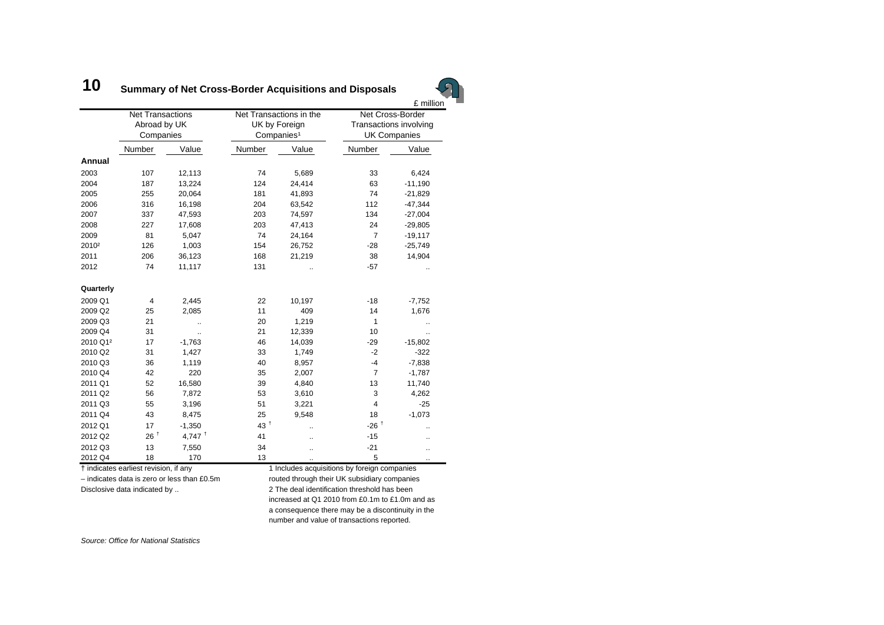#### **10Summary of Net Cross-Border Acquisitions and Disposals**



|                      | <b>Net Transactions</b><br>Abroad by UK<br>Companies |                      |                   | Net Transactions in the<br>UK by Foreign<br>Companies <sup>1</sup> | Net Cross-Border<br>Transactions involving<br><b>UK Companies</b> |           |  |
|----------------------|------------------------------------------------------|----------------------|-------------------|--------------------------------------------------------------------|-------------------------------------------------------------------|-----------|--|
|                      | Number                                               | Value                | Number            | Value                                                              | Number                                                            | Value     |  |
| Annual               |                                                      |                      |                   |                                                                    |                                                                   |           |  |
| 2003                 | 107                                                  | 12,113               | 74                | 5,689                                                              | 33                                                                | 6,424     |  |
| 2004                 | 187                                                  | 13,224               | 124               | 24,414                                                             | 63                                                                | $-11,190$ |  |
| 2005                 | 255                                                  | 20,064               | 181               | 41,893                                                             | 74                                                                | $-21,829$ |  |
| 2006                 | 316                                                  | 16,198               | 204               | 63,542                                                             | 112                                                               | $-47,344$ |  |
| 2007                 | 337                                                  | 47,593               | 203               | 74,597                                                             | 134                                                               | $-27,004$ |  |
| 2008                 | 227                                                  | 17,608               | 203               | 47,413                                                             | 24                                                                | $-29,805$ |  |
| 2009                 | 81                                                   | 5,047                | 74                | 24,164                                                             | $\overline{7}$                                                    | $-19,117$ |  |
| 2010 <sup>2</sup>    | 126                                                  | 1,003                | 154               | 26,752                                                             | $-28$                                                             | $-25,749$ |  |
| 2011                 | 206                                                  | 36,123               | 168               | 21,219                                                             | 38                                                                | 14,904    |  |
| 2012                 | 74                                                   | 11,117               | 131               |                                                                    | $-57$                                                             |           |  |
| Quarterly            |                                                      |                      |                   |                                                                    |                                                                   |           |  |
| 2009 Q1              | $\overline{4}$                                       | 2,445                | 22                | 10,197                                                             | $-18$                                                             | $-7,752$  |  |
| 2009 Q2              | 25                                                   | 2,085                | 11                | 409                                                                | 14                                                                | 1,676     |  |
| 2009 Q3              | 21                                                   | $\ddot{\phantom{a}}$ | 20                | 1,219                                                              | $\mathbf{1}$                                                      |           |  |
| 2009 Q4              | 31                                                   | ä.                   | 21                | 12,339                                                             | 10                                                                | ä.        |  |
| 2010 Q1 <sup>2</sup> | 17                                                   | $-1,763$             | 46                | 14,039                                                             | $-29$                                                             | $-15,802$ |  |
| 2010 Q2              | 31                                                   | 1,427                | 33                | 1,749                                                              | $-2$                                                              | $-322$    |  |
| 2010 Q3              | 36                                                   | 1,119                | 40                | 8,957                                                              | $-4$                                                              | $-7,838$  |  |
| 2010 Q4              | 42                                                   | 220                  | 35                | 2,007                                                              | $\overline{7}$                                                    | $-1,787$  |  |
| 2011 Q1              | 52                                                   | 16,580               | 39                | 4,840                                                              | 13                                                                | 11,740    |  |
| 2011 Q2              | 56                                                   | 7,872                | 53                | 3,610                                                              | 3                                                                 | 4,262     |  |
| 2011 Q3              | 55                                                   | 3,196                | 51                | 3,221                                                              | $\overline{4}$                                                    | $-25$     |  |
| 2011 Q4              | 43                                                   | 8,475                | 25                | 9,548                                                              | 18                                                                | $-1,073$  |  |
| 2012 Q1              | 17                                                   | $-1,350$             | $43^{\mathrm{t}}$ | å.                                                                 | $-26$ <sup>+</sup>                                                |           |  |
| 2012 Q2              | 26 <sup>†</sup>                                      | 4,747 $†$            | 41                | à.                                                                 | $-15$                                                             |           |  |
| 2012 Q3              | 13                                                   | 7,550                | 34                |                                                                    | $-21$                                                             |           |  |
| 2012 Q4              | 18                                                   | 170                  | 13                |                                                                    | 5                                                                 |           |  |

† indicates earliest revision, if any 1 Includes acquisitions by foreign companies

– indicates data is zero or less than £0.5m routed through their UK subsidiary companies Disclosive data indicated by .. 2 The deal identification threshold has been increased at Q1 2010 from £0.1m to £1.0m and as a consequence there may be a discontinuity in the number and value of transactions reported.